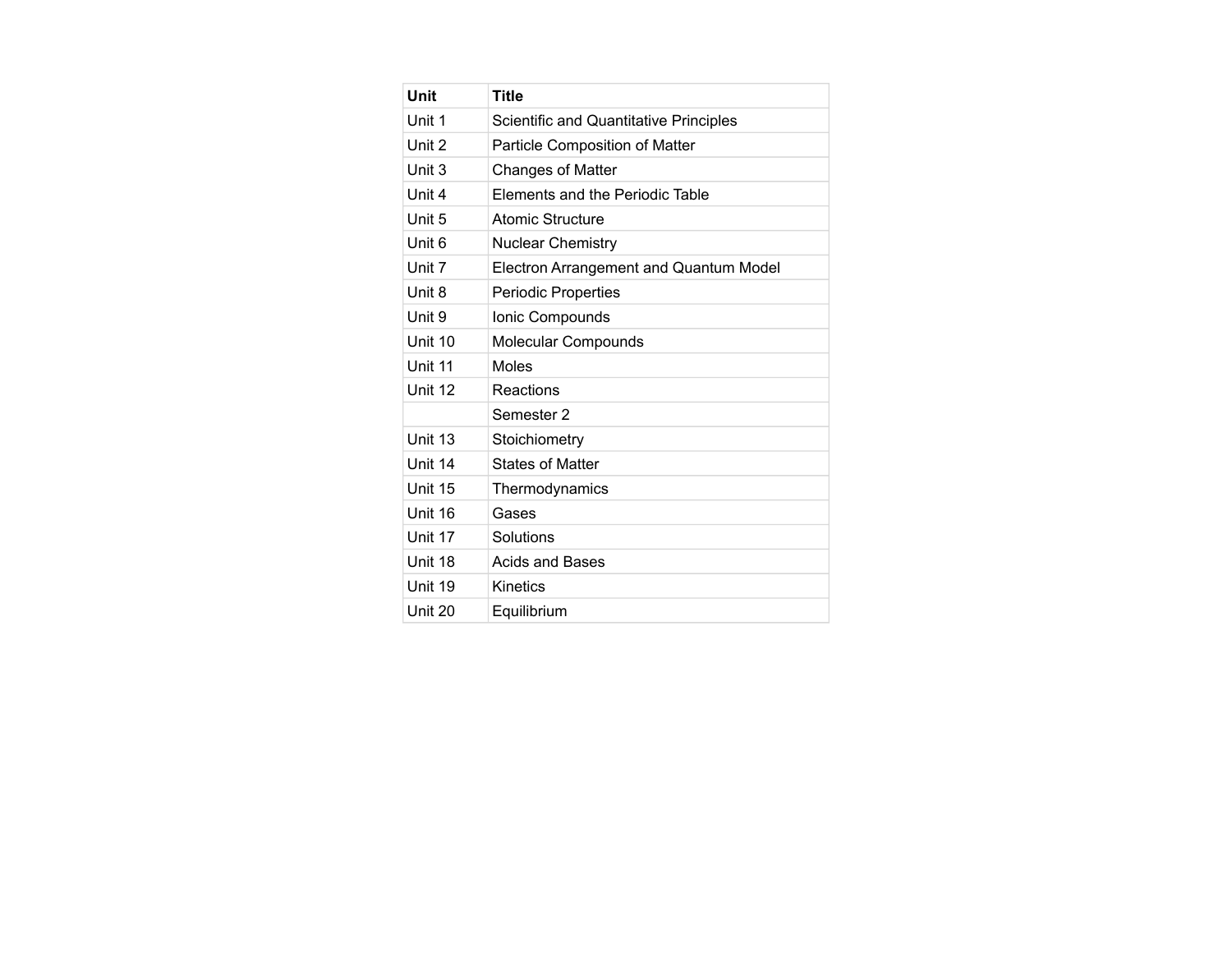| Unit              | <b>Title</b>                           |
|-------------------|----------------------------------------|
| Unit 1            | Scientific and Quantitative Principles |
| Unit 2            | Particle Composition of Matter         |
| Unit 3            | Changes of Matter                      |
| Unit 4            | Elements and the Periodic Table        |
| Unit 5            | Atomic Structure                       |
| Unit <sub>6</sub> | <b>Nuclear Chemistry</b>               |
| Unit 7            | Electron Arrangement and Quantum Model |
| Unit 8            | <b>Periodic Properties</b>             |
| Unit 9            | Ionic Compounds                        |
| Unit 10           | Molecular Compounds                    |
| Unit 11           | <b>Moles</b>                           |
| Unit 12           | Reactions                              |
|                   | Semester 2                             |
| Unit 13           | Stoichiometry                          |
| Unit 14           | <b>States of Matter</b>                |
| Unit 15           | Thermodynamics                         |
| Unit 16           | Gases                                  |
| Unit 17           | Solutions                              |
| Unit 18           | Acids and Bases                        |
| Unit 19           | Kinetics                               |
| Unit 20           | Equilibrium                            |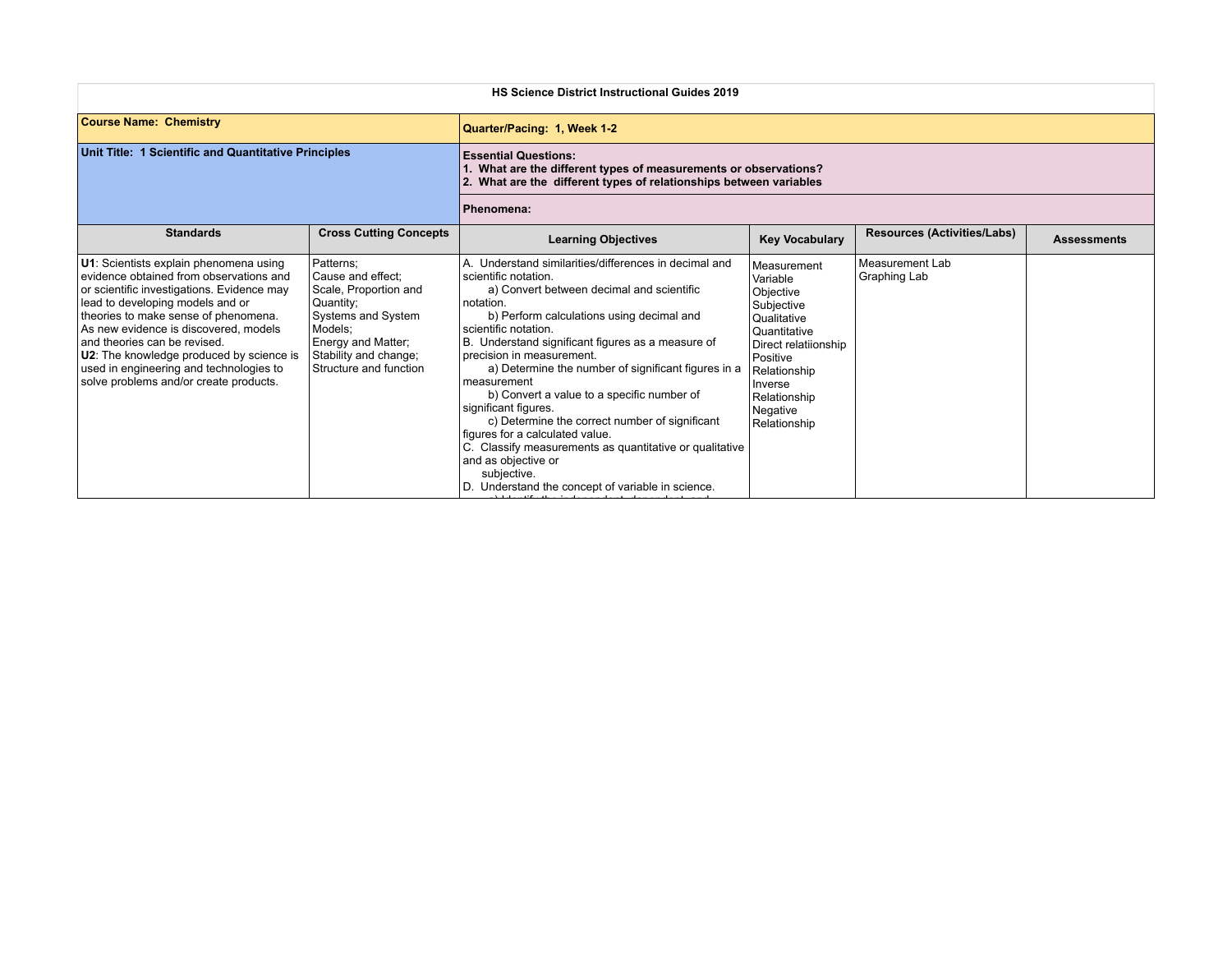|                                                                                                                                                                                                                                                                                                                                                                                                                       | <b>HS Science District Instructional Guides 2019</b>                                                                                                                           |                                                                                                                                                                                                                                                                                                                                                                                                                                                                                                                                                                                                                                                                                       |                                                                                                                                                                                                            |                                    |                    |  |
|-----------------------------------------------------------------------------------------------------------------------------------------------------------------------------------------------------------------------------------------------------------------------------------------------------------------------------------------------------------------------------------------------------------------------|--------------------------------------------------------------------------------------------------------------------------------------------------------------------------------|---------------------------------------------------------------------------------------------------------------------------------------------------------------------------------------------------------------------------------------------------------------------------------------------------------------------------------------------------------------------------------------------------------------------------------------------------------------------------------------------------------------------------------------------------------------------------------------------------------------------------------------------------------------------------------------|------------------------------------------------------------------------------------------------------------------------------------------------------------------------------------------------------------|------------------------------------|--------------------|--|
| <b>Course Name: Chemistry</b>                                                                                                                                                                                                                                                                                                                                                                                         |                                                                                                                                                                                | Quarter/Pacing: 1, Week 1-2                                                                                                                                                                                                                                                                                                                                                                                                                                                                                                                                                                                                                                                           |                                                                                                                                                                                                            |                                    |                    |  |
| Unit Title: 1 Scientific and Quantitative Principles                                                                                                                                                                                                                                                                                                                                                                  |                                                                                                                                                                                | <b>Essential Questions:</b><br>. What are the different types of measurements or observations?<br>What are the different types of relationships between variables                                                                                                                                                                                                                                                                                                                                                                                                                                                                                                                     |                                                                                                                                                                                                            |                                    |                    |  |
|                                                                                                                                                                                                                                                                                                                                                                                                                       |                                                                                                                                                                                | Phenomena:                                                                                                                                                                                                                                                                                                                                                                                                                                                                                                                                                                                                                                                                            |                                                                                                                                                                                                            |                                    |                    |  |
| <b>Standards</b>                                                                                                                                                                                                                                                                                                                                                                                                      | <b>Cross Cutting Concepts</b>                                                                                                                                                  | <b>Learning Objectives</b>                                                                                                                                                                                                                                                                                                                                                                                                                                                                                                                                                                                                                                                            | <b>Key Vocabulary</b>                                                                                                                                                                                      | <b>Resources (Activities/Labs)</b> | <b>Assessments</b> |  |
| U1: Scientists explain phenomena using<br>evidence obtained from observations and<br>or scientific investigations. Evidence may<br>lead to developing models and or<br>theories to make sense of phenomena.<br>As new evidence is discovered. models<br>and theories can be revised.<br>U2: The knowledge produced by science is<br>used in engineering and technologies to<br>solve problems and/or create products. | Patterns;<br>Cause and effect:<br>Scale, Proportion and<br>Quantity;<br>Systems and System<br>Models:<br>Energy and Matter;<br>Stability and change;<br>Structure and function | A. Understand similarities/differences in decimal and<br>scientific notation.<br>a) Convert between decimal and scientific<br>notation.<br>b) Perform calculations using decimal and<br>scientific notation.<br>B. Understand significant figures as a measure of<br>precision in measurement.<br>a) Determine the number of significant figures in a<br>measurement<br>b) Convert a value to a specific number of<br>significant figures.<br>c) Determine the correct number of significant<br>figures for a calculated value.<br>C. Classify measurements as quantitative or qualitative<br>and as objective or<br>subjective.<br>D. Understand the concept of variable in science. | <b>Measurement</b><br>Variable<br>Objective<br>Subjective<br><b>Qualitative</b><br>Quantitative<br>Direct relatiionship<br>Positive<br>Relationship<br>Inverse<br>Relationship<br>Negative<br>Relationship | Measurement Lab<br>Graphing Lab    |                    |  |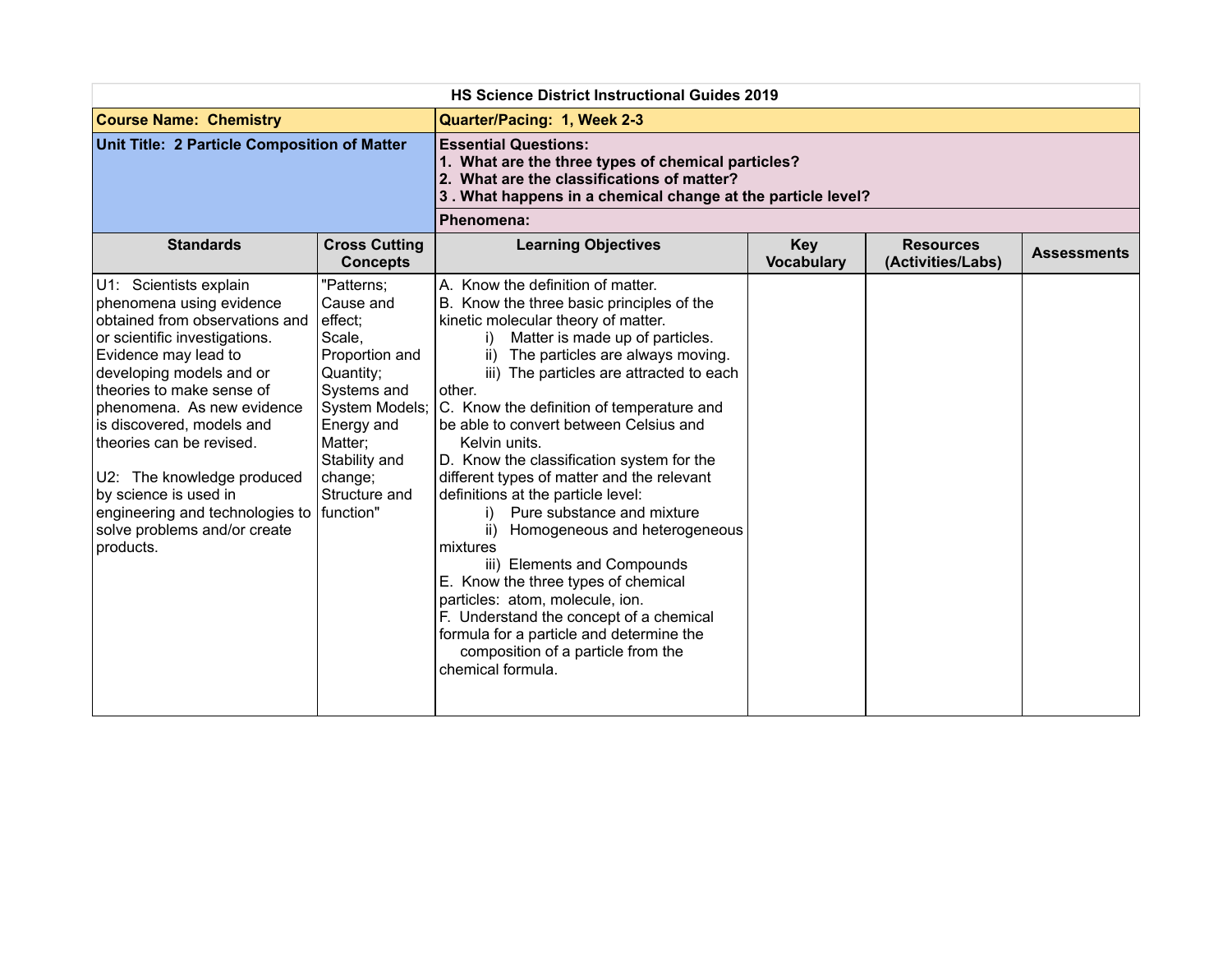|                                                                                                                                                                                                                                                                                                                                                                                                                                      | <b>HS Science District Instructional Guides 2019</b>                                                                                                                                            |                                                                                                                                                                                                                                                                                                                                                                                                                                                                                                                                                                                                                                                                                                                                                                                                                                                           |                          |                                       |                    |  |
|--------------------------------------------------------------------------------------------------------------------------------------------------------------------------------------------------------------------------------------------------------------------------------------------------------------------------------------------------------------------------------------------------------------------------------------|-------------------------------------------------------------------------------------------------------------------------------------------------------------------------------------------------|-----------------------------------------------------------------------------------------------------------------------------------------------------------------------------------------------------------------------------------------------------------------------------------------------------------------------------------------------------------------------------------------------------------------------------------------------------------------------------------------------------------------------------------------------------------------------------------------------------------------------------------------------------------------------------------------------------------------------------------------------------------------------------------------------------------------------------------------------------------|--------------------------|---------------------------------------|--------------------|--|
| <b>Course Name: Chemistry</b>                                                                                                                                                                                                                                                                                                                                                                                                        |                                                                                                                                                                                                 | Quarter/Pacing: 1, Week 2-3                                                                                                                                                                                                                                                                                                                                                                                                                                                                                                                                                                                                                                                                                                                                                                                                                               |                          |                                       |                    |  |
| Unit Title: 2 Particle Composition of Matter                                                                                                                                                                                                                                                                                                                                                                                         |                                                                                                                                                                                                 | <b>Essential Questions:</b><br>1. What are the three types of chemical particles?<br>2. What are the classifications of matter?<br>3. What happens in a chemical change at the particle level?                                                                                                                                                                                                                                                                                                                                                                                                                                                                                                                                                                                                                                                            |                          |                                       |                    |  |
|                                                                                                                                                                                                                                                                                                                                                                                                                                      |                                                                                                                                                                                                 | Phenomena:                                                                                                                                                                                                                                                                                                                                                                                                                                                                                                                                                                                                                                                                                                                                                                                                                                                |                          |                                       |                    |  |
| <b>Standards</b>                                                                                                                                                                                                                                                                                                                                                                                                                     | <b>Cross Cutting</b><br><b>Concepts</b>                                                                                                                                                         | <b>Learning Objectives</b>                                                                                                                                                                                                                                                                                                                                                                                                                                                                                                                                                                                                                                                                                                                                                                                                                                | Key<br><b>Vocabulary</b> | <b>Resources</b><br>(Activities/Labs) | <b>Assessments</b> |  |
| U1: Scientists explain<br>phenomena using evidence<br>obtained from observations and<br>or scientific investigations.<br>Evidence may lead to<br>developing models and or<br>theories to make sense of<br>phenomena. As new evidence<br>is discovered, models and<br>theories can be revised.<br>U2: The knowledge produced<br>by science is used in<br>engineering and technologies to<br>solve problems and/or create<br>products. | "Patterns;<br>Cause and<br>effect;<br>Scale.<br>Proportion and<br>Quantity;<br>Systems and<br>System Models;<br>Energy and<br>Matter;<br>Stability and<br>change;<br>Structure and<br>function" | A. Know the definition of matter.<br>B. Know the three basic principles of the<br>kinetic molecular theory of matter.<br>Matter is made up of particles.<br>i)<br>ii) The particles are always moving.<br>iii) The particles are attracted to each<br>other.<br>C. Know the definition of temperature and<br>be able to convert between Celsius and<br>Kelvin units.<br>D. Know the classification system for the<br>different types of matter and the relevant<br>definitions at the particle level:<br>Pure substance and mixture<br>i).<br>ii)<br>Homogeneous and heterogeneous<br>mixtures<br>iii) Elements and Compounds<br>E. Know the three types of chemical<br>particles: atom, molecule, ion.<br>F. Understand the concept of a chemical<br>formula for a particle and determine the<br>composition of a particle from the<br>chemical formula. |                          |                                       |                    |  |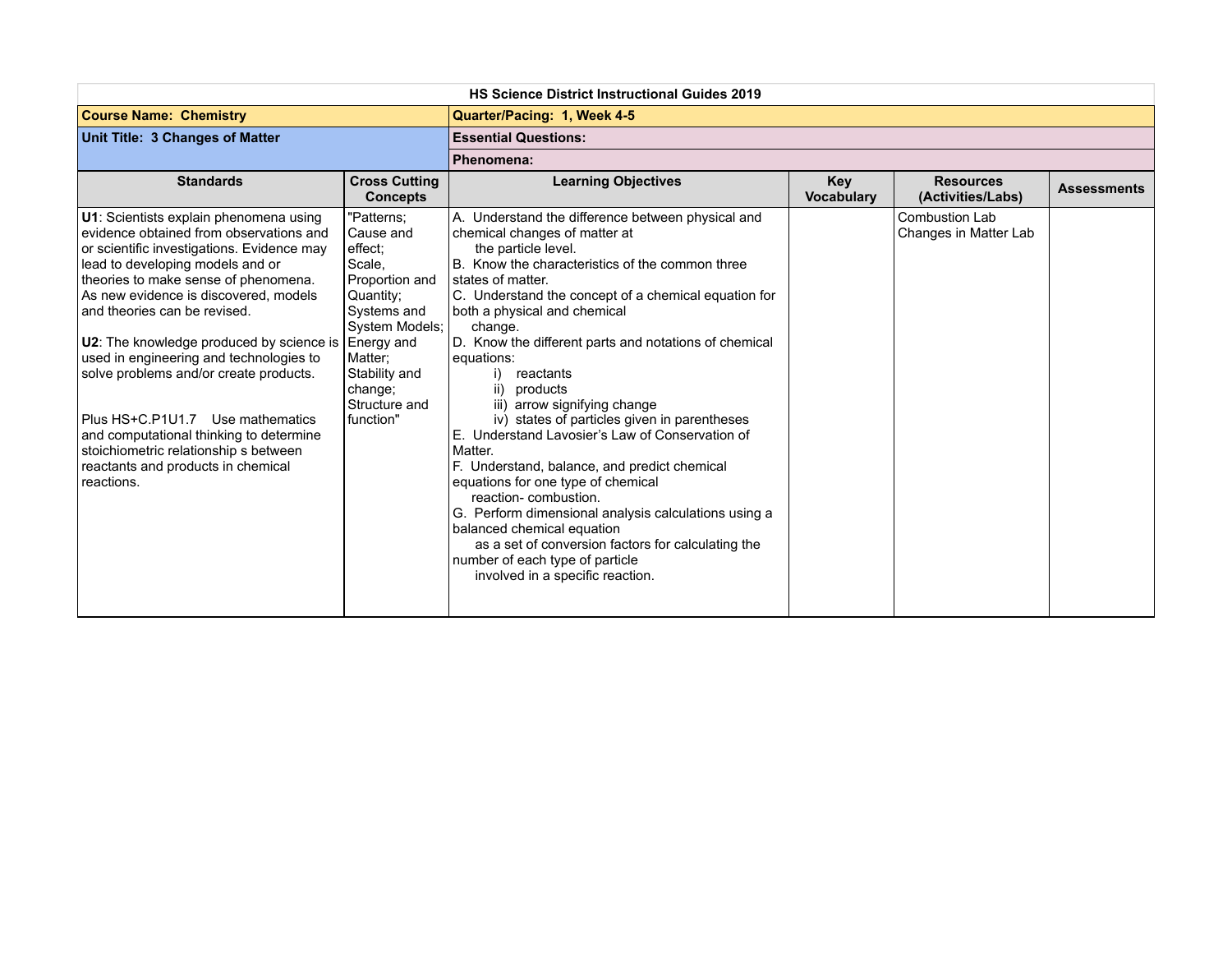| <b>HS Science District Instructional Guides 2019</b>                                                                                                                                                                                                                                                                                                                                                                                                                                                                                                                                              |                                                                                                                                                                                                 |                                                                                                                                                                                                                                                                                                                                                                                                                                                                                                                                                                                                                                                                                                                                                                                                                                                                                |                                 |                                                |                    |
|---------------------------------------------------------------------------------------------------------------------------------------------------------------------------------------------------------------------------------------------------------------------------------------------------------------------------------------------------------------------------------------------------------------------------------------------------------------------------------------------------------------------------------------------------------------------------------------------------|-------------------------------------------------------------------------------------------------------------------------------------------------------------------------------------------------|--------------------------------------------------------------------------------------------------------------------------------------------------------------------------------------------------------------------------------------------------------------------------------------------------------------------------------------------------------------------------------------------------------------------------------------------------------------------------------------------------------------------------------------------------------------------------------------------------------------------------------------------------------------------------------------------------------------------------------------------------------------------------------------------------------------------------------------------------------------------------------|---------------------------------|------------------------------------------------|--------------------|
| <b>Course Name: Chemistry</b>                                                                                                                                                                                                                                                                                                                                                                                                                                                                                                                                                                     |                                                                                                                                                                                                 | Quarter/Pacing: 1, Week 4-5                                                                                                                                                                                                                                                                                                                                                                                                                                                                                                                                                                                                                                                                                                                                                                                                                                                    |                                 |                                                |                    |
| Unit Title: 3 Changes of Matter                                                                                                                                                                                                                                                                                                                                                                                                                                                                                                                                                                   |                                                                                                                                                                                                 | <b>Essential Questions:</b>                                                                                                                                                                                                                                                                                                                                                                                                                                                                                                                                                                                                                                                                                                                                                                                                                                                    |                                 |                                                |                    |
|                                                                                                                                                                                                                                                                                                                                                                                                                                                                                                                                                                                                   |                                                                                                                                                                                                 | Phenomena:                                                                                                                                                                                                                                                                                                                                                                                                                                                                                                                                                                                                                                                                                                                                                                                                                                                                     |                                 |                                                |                    |
| <b>Standards</b>                                                                                                                                                                                                                                                                                                                                                                                                                                                                                                                                                                                  | <b>Cross Cutting</b><br><b>Concepts</b>                                                                                                                                                         | <b>Learning Objectives</b>                                                                                                                                                                                                                                                                                                                                                                                                                                                                                                                                                                                                                                                                                                                                                                                                                                                     | <b>Key</b><br><b>Vocabulary</b> | <b>Resources</b><br>(Activities/Labs)          | <b>Assessments</b> |
| U1: Scientists explain phenomena using<br>evidence obtained from observations and<br>or scientific investigations. Evidence may<br>lead to developing models and or<br>theories to make sense of phenomena.<br>As new evidence is discovered, models<br>and theories can be revised.<br>U2: The knowledge produced by science is<br>used in engineering and technologies to<br>solve problems and/or create products.<br>Plus HS+C.P1U1.7 Use mathematics<br>and computational thinking to determine<br>stoichiometric relationship s between<br>reactants and products in chemical<br>reactions. | "Patterns;<br>Cause and<br>effect:<br>Scale.<br>Proportion and<br>Quantity;<br>Systems and<br>System Models:<br>Energy and<br>Matter:<br>Stability and<br>change;<br>Structure and<br>function" | A. Understand the difference between physical and<br>chemical changes of matter at<br>the particle level.<br>B. Know the characteristics of the common three<br>states of matter.<br>C. Understand the concept of a chemical equation for<br>both a physical and chemical<br>change.<br>D. Know the different parts and notations of chemical<br>equations:<br>reactants<br>i).<br>ii) products<br>iii) arrow signifying change<br>iv) states of particles given in parentheses<br>E. Understand Lavosier's Law of Conservation of<br>Matter.<br>F. Understand, balance, and predict chemical<br>equations for one type of chemical<br>reaction-combustion.<br>G. Perform dimensional analysis calculations using a<br>balanced chemical equation<br>as a set of conversion factors for calculating the<br>number of each type of particle<br>involved in a specific reaction. |                                 | <b>Combustion Lab</b><br>Changes in Matter Lab |                    |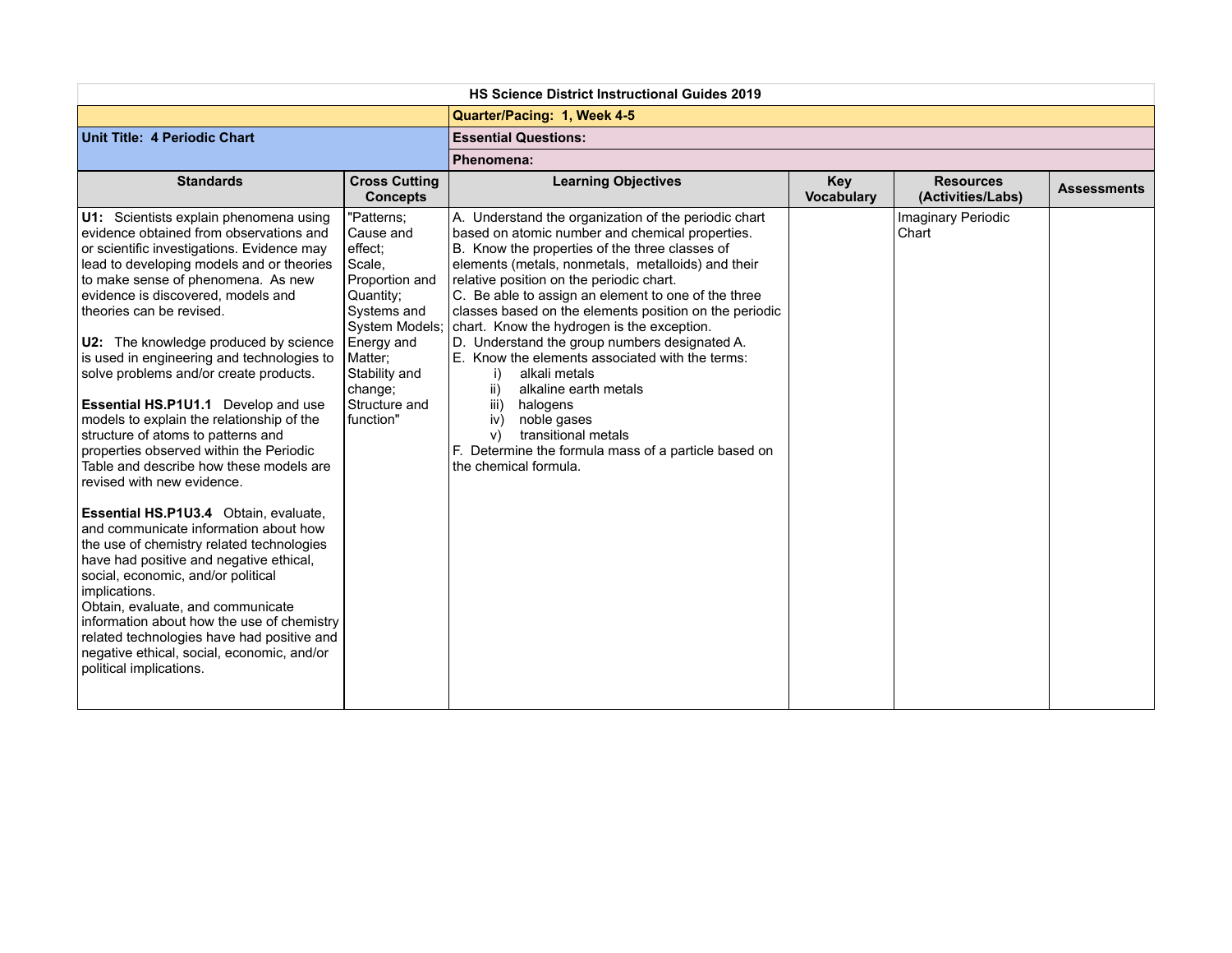| <b>HS Science District Instructional Guides 2019</b>                                                                                                                                                                                                                                                                                                                                                                                                                                                                                                                                                                                                                                                                                                                                                                                                                                                                                                                                                                                                                                                           |                                                                                                                                                                                                 |                                                                                                                                                                                                                                                                                                                                                                                                                                                                                                                                                                                                                                                                                                                                               |                          |                                       |                    |
|----------------------------------------------------------------------------------------------------------------------------------------------------------------------------------------------------------------------------------------------------------------------------------------------------------------------------------------------------------------------------------------------------------------------------------------------------------------------------------------------------------------------------------------------------------------------------------------------------------------------------------------------------------------------------------------------------------------------------------------------------------------------------------------------------------------------------------------------------------------------------------------------------------------------------------------------------------------------------------------------------------------------------------------------------------------------------------------------------------------|-------------------------------------------------------------------------------------------------------------------------------------------------------------------------------------------------|-----------------------------------------------------------------------------------------------------------------------------------------------------------------------------------------------------------------------------------------------------------------------------------------------------------------------------------------------------------------------------------------------------------------------------------------------------------------------------------------------------------------------------------------------------------------------------------------------------------------------------------------------------------------------------------------------------------------------------------------------|--------------------------|---------------------------------------|--------------------|
|                                                                                                                                                                                                                                                                                                                                                                                                                                                                                                                                                                                                                                                                                                                                                                                                                                                                                                                                                                                                                                                                                                                |                                                                                                                                                                                                 | Quarter/Pacing: 1, Week 4-5                                                                                                                                                                                                                                                                                                                                                                                                                                                                                                                                                                                                                                                                                                                   |                          |                                       |                    |
| Unit Title: 4 Periodic Chart                                                                                                                                                                                                                                                                                                                                                                                                                                                                                                                                                                                                                                                                                                                                                                                                                                                                                                                                                                                                                                                                                   |                                                                                                                                                                                                 | <b>Essential Questions:</b>                                                                                                                                                                                                                                                                                                                                                                                                                                                                                                                                                                                                                                                                                                                   |                          |                                       |                    |
|                                                                                                                                                                                                                                                                                                                                                                                                                                                                                                                                                                                                                                                                                                                                                                                                                                                                                                                                                                                                                                                                                                                |                                                                                                                                                                                                 | Phenomena:                                                                                                                                                                                                                                                                                                                                                                                                                                                                                                                                                                                                                                                                                                                                    |                          |                                       |                    |
| <b>Standards</b>                                                                                                                                                                                                                                                                                                                                                                                                                                                                                                                                                                                                                                                                                                                                                                                                                                                                                                                                                                                                                                                                                               | <b>Cross Cutting</b><br><b>Concepts</b>                                                                                                                                                         | <b>Learning Objectives</b>                                                                                                                                                                                                                                                                                                                                                                                                                                                                                                                                                                                                                                                                                                                    | Key<br><b>Vocabulary</b> | <b>Resources</b><br>(Activities/Labs) | <b>Assessments</b> |
| U1: Scientists explain phenomena using<br>evidence obtained from observations and<br>or scientific investigations. Evidence may<br>lead to developing models and or theories<br>to make sense of phenomena. As new<br>evidence is discovered, models and<br>theories can be revised.<br>U2: The knowledge produced by science<br>is used in engineering and technologies to<br>solve problems and/or create products.<br>Essential HS.P1U1.1 Develop and use<br>models to explain the relationship of the<br>structure of atoms to patterns and<br>properties observed within the Periodic<br>Table and describe how these models are<br>revised with new evidence.<br>Essential HS.P1U3.4 Obtain, evaluate,<br>and communicate information about how<br>the use of chemistry related technologies<br>have had positive and negative ethical,<br>social, economic, and/or political<br>implications.<br>Obtain, evaluate, and communicate<br>information about how the use of chemistry<br>related technologies have had positive and<br>negative ethical, social, economic, and/or<br>political implications. | "Patterns;<br>Cause and<br>effect;<br>Scale,<br>Proportion and<br>Quantity;<br>Systems and<br>System Models;<br>Energy and<br>Matter;<br>Stability and<br>change;<br>Structure and<br>function" | A. Understand the organization of the periodic chart<br>based on atomic number and chemical properties.<br>B. Know the properties of the three classes of<br>elements (metals, nonmetals, metalloids) and their<br>relative position on the periodic chart.<br>C. Be able to assign an element to one of the three<br>classes based on the elements position on the periodic<br>chart. Know the hydrogen is the exception.<br>D. Understand the group numbers designated A.<br>E. Know the elements associated with the terms:<br>alkali metals<br>i)<br>ii)<br>alkaline earth metals<br>halogens<br>iii)<br>noble gases<br>iv)<br>transitional metals<br>V)<br>F. Determine the formula mass of a particle based on<br>the chemical formula. |                          | Imaginary Periodic<br>Chart           |                    |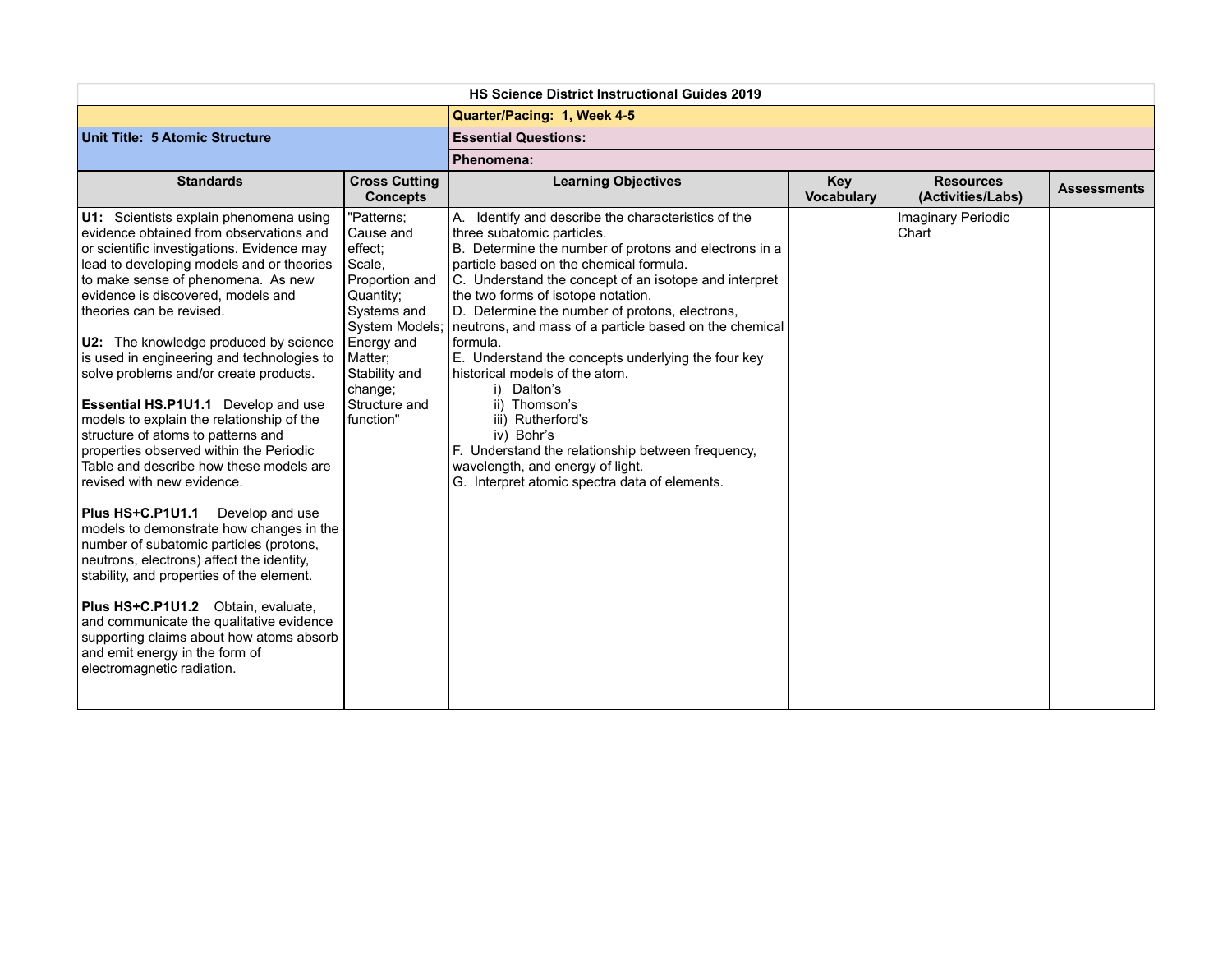| <b>HS Science District Instructional Guides 2019</b>                                                                                                                                                                                                                                                                                                                                                                                                                                                                                                                                                                                                                                                       |                                                                                                                                                                                                 |                                                                                                                                                                                                                                                                                                                                                                                                                                                                                                                                                                                                                                                                                                                   |                                 |                                       |                    |
|------------------------------------------------------------------------------------------------------------------------------------------------------------------------------------------------------------------------------------------------------------------------------------------------------------------------------------------------------------------------------------------------------------------------------------------------------------------------------------------------------------------------------------------------------------------------------------------------------------------------------------------------------------------------------------------------------------|-------------------------------------------------------------------------------------------------------------------------------------------------------------------------------------------------|-------------------------------------------------------------------------------------------------------------------------------------------------------------------------------------------------------------------------------------------------------------------------------------------------------------------------------------------------------------------------------------------------------------------------------------------------------------------------------------------------------------------------------------------------------------------------------------------------------------------------------------------------------------------------------------------------------------------|---------------------------------|---------------------------------------|--------------------|
|                                                                                                                                                                                                                                                                                                                                                                                                                                                                                                                                                                                                                                                                                                            |                                                                                                                                                                                                 | Quarter/Pacing: 1, Week 4-5                                                                                                                                                                                                                                                                                                                                                                                                                                                                                                                                                                                                                                                                                       |                                 |                                       |                    |
| Unit Title: 5 Atomic Structure                                                                                                                                                                                                                                                                                                                                                                                                                                                                                                                                                                                                                                                                             |                                                                                                                                                                                                 | <b>Essential Questions:</b>                                                                                                                                                                                                                                                                                                                                                                                                                                                                                                                                                                                                                                                                                       |                                 |                                       |                    |
|                                                                                                                                                                                                                                                                                                                                                                                                                                                                                                                                                                                                                                                                                                            |                                                                                                                                                                                                 | Phenomena:                                                                                                                                                                                                                                                                                                                                                                                                                                                                                                                                                                                                                                                                                                        |                                 |                                       |                    |
| <b>Standards</b>                                                                                                                                                                                                                                                                                                                                                                                                                                                                                                                                                                                                                                                                                           | <b>Cross Cutting</b><br><b>Concepts</b>                                                                                                                                                         | <b>Learning Objectives</b>                                                                                                                                                                                                                                                                                                                                                                                                                                                                                                                                                                                                                                                                                        | <b>Key</b><br><b>Vocabulary</b> | <b>Resources</b><br>(Activities/Labs) | <b>Assessments</b> |
| U1: Scientists explain phenomena using<br>evidence obtained from observations and<br>or scientific investigations. Evidence may<br>lead to developing models and or theories<br>to make sense of phenomena. As new<br>evidence is discovered, models and<br>theories can be revised.<br>U2: The knowledge produced by science<br>is used in engineering and technologies to<br>solve problems and/or create products.<br>Essential HS.P1U1.1 Develop and use<br>models to explain the relationship of the<br>structure of atoms to patterns and<br>properties observed within the Periodic<br>Table and describe how these models are<br>revised with new evidence.<br>Develop and use<br>Plus HS+C.P1U1.1 | "Patterns;<br>Cause and<br>effect:<br>Scale,<br>Proportion and<br>Quantity;<br>Systems and<br>System Models;<br>Energy and<br>Matter;<br>Stability and<br>change;<br>Structure and<br>function" | A. Identify and describe the characteristics of the<br>three subatomic particles.<br>B. Determine the number of protons and electrons in a<br>particle based on the chemical formula.<br>C. Understand the concept of an isotope and interpret<br>the two forms of isotope notation.<br>D. Determine the number of protons, electrons,<br>neutrons, and mass of a particle based on the chemical<br>formula.<br>E. Understand the concepts underlying the four key<br>historical models of the atom.<br>i) Dalton's<br>ii) Thomson's<br>iii) Rutherford's<br>iv) Bohr's<br>F. Understand the relationship between frequency,<br>wavelength, and energy of light.<br>G. Interpret atomic spectra data of elements. |                                 | Imaginary Periodic<br>Chart           |                    |
| models to demonstrate how changes in the<br>number of subatomic particles (protons,<br>neutrons, electrons) affect the identity,<br>stability, and properties of the element.                                                                                                                                                                                                                                                                                                                                                                                                                                                                                                                              |                                                                                                                                                                                                 |                                                                                                                                                                                                                                                                                                                                                                                                                                                                                                                                                                                                                                                                                                                   |                                 |                                       |                    |
| Plus HS+C.P1U1.2 Obtain, evaluate,<br>and communicate the qualitative evidence<br>supporting claims about how atoms absorb<br>and emit energy in the form of<br>electromagnetic radiation.                                                                                                                                                                                                                                                                                                                                                                                                                                                                                                                 |                                                                                                                                                                                                 |                                                                                                                                                                                                                                                                                                                                                                                                                                                                                                                                                                                                                                                                                                                   |                                 |                                       |                    |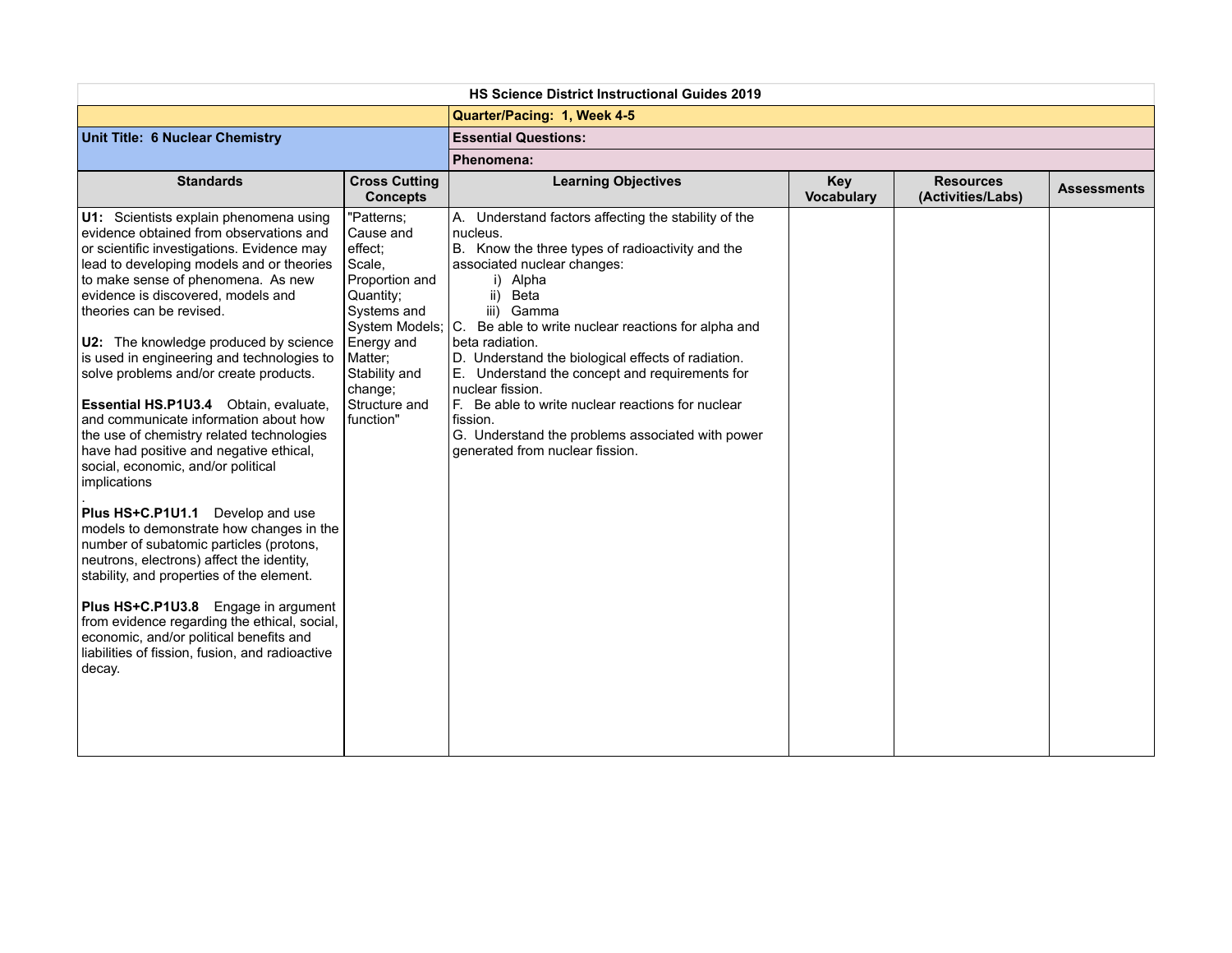| <b>HS Science District Instructional Guides 2019</b>                                                                                                                                                                                                                                                                                                                                                                                                                                                                                                                                                                                                                                                                                                                                                                                                                                                                                                                                                                                                                      |                                                                                                                                                                               |                                                                                                                                                                                                                                                                                                                                                                                                                                                                                                                                                                        |                                 |                                       |                    |  |
|---------------------------------------------------------------------------------------------------------------------------------------------------------------------------------------------------------------------------------------------------------------------------------------------------------------------------------------------------------------------------------------------------------------------------------------------------------------------------------------------------------------------------------------------------------------------------------------------------------------------------------------------------------------------------------------------------------------------------------------------------------------------------------------------------------------------------------------------------------------------------------------------------------------------------------------------------------------------------------------------------------------------------------------------------------------------------|-------------------------------------------------------------------------------------------------------------------------------------------------------------------------------|------------------------------------------------------------------------------------------------------------------------------------------------------------------------------------------------------------------------------------------------------------------------------------------------------------------------------------------------------------------------------------------------------------------------------------------------------------------------------------------------------------------------------------------------------------------------|---------------------------------|---------------------------------------|--------------------|--|
|                                                                                                                                                                                                                                                                                                                                                                                                                                                                                                                                                                                                                                                                                                                                                                                                                                                                                                                                                                                                                                                                           |                                                                                                                                                                               | Quarter/Pacing: 1, Week 4-5                                                                                                                                                                                                                                                                                                                                                                                                                                                                                                                                            |                                 |                                       |                    |  |
| Unit Title: 6 Nuclear Chemistry                                                                                                                                                                                                                                                                                                                                                                                                                                                                                                                                                                                                                                                                                                                                                                                                                                                                                                                                                                                                                                           |                                                                                                                                                                               | <b>Essential Questions:</b>                                                                                                                                                                                                                                                                                                                                                                                                                                                                                                                                            |                                 |                                       |                    |  |
|                                                                                                                                                                                                                                                                                                                                                                                                                                                                                                                                                                                                                                                                                                                                                                                                                                                                                                                                                                                                                                                                           |                                                                                                                                                                               | Phenomena:                                                                                                                                                                                                                                                                                                                                                                                                                                                                                                                                                             |                                 |                                       |                    |  |
| <b>Standards</b>                                                                                                                                                                                                                                                                                                                                                                                                                                                                                                                                                                                                                                                                                                                                                                                                                                                                                                                                                                                                                                                          | <b>Cross Cutting</b><br><b>Concepts</b>                                                                                                                                       | <b>Learning Objectives</b>                                                                                                                                                                                                                                                                                                                                                                                                                                                                                                                                             | <b>Key</b><br><b>Vocabulary</b> | <b>Resources</b><br>(Activities/Labs) | <b>Assessments</b> |  |
| U1: Scientists explain phenomena using<br>evidence obtained from observations and<br>or scientific investigations. Evidence may<br>lead to developing models and or theories<br>to make sense of phenomena. As new<br>evidence is discovered, models and<br>theories can be revised.<br>U2: The knowledge produced by science<br>is used in engineering and technologies to<br>solve problems and/or create products.<br>Essential HS.P1U3.4 Obtain, evaluate,<br>and communicate information about how<br>the use of chemistry related technologies<br>have had positive and negative ethical,<br>social, economic, and/or political<br>implications<br>Plus HS+C.P1U1.1 Develop and use<br>models to demonstrate how changes in the<br>number of subatomic particles (protons,<br>neutrons, electrons) affect the identity,<br>stability, and properties of the element.<br>Plus HS+C.P1U3.8 Engage in argument<br>from evidence regarding the ethical, social,<br>economic, and/or political benefits and<br>liabilities of fission, fusion, and radioactive<br>decay. | "Patterns;<br>Cause and<br>effect;<br>Scale,<br>Proportion and<br>Quantity:<br>Systems and<br>Energy and<br>Matter;<br>Stability and<br>change;<br>Structure and<br>function" | A. Understand factors affecting the stability of the<br>nucleus.<br>B. Know the three types of radioactivity and the<br>associated nuclear changes:<br>i) Alpha<br>ii) Beta<br>iii) Gamma<br>System Models; C. Be able to write nuclear reactions for alpha and<br>beta radiation.<br>D. Understand the biological effects of radiation.<br>E. Understand the concept and requirements for<br>nuclear fission.<br>F. Be able to write nuclear reactions for nuclear<br>fission.<br>G. Understand the problems associated with power<br>generated from nuclear fission. |                                 |                                       |                    |  |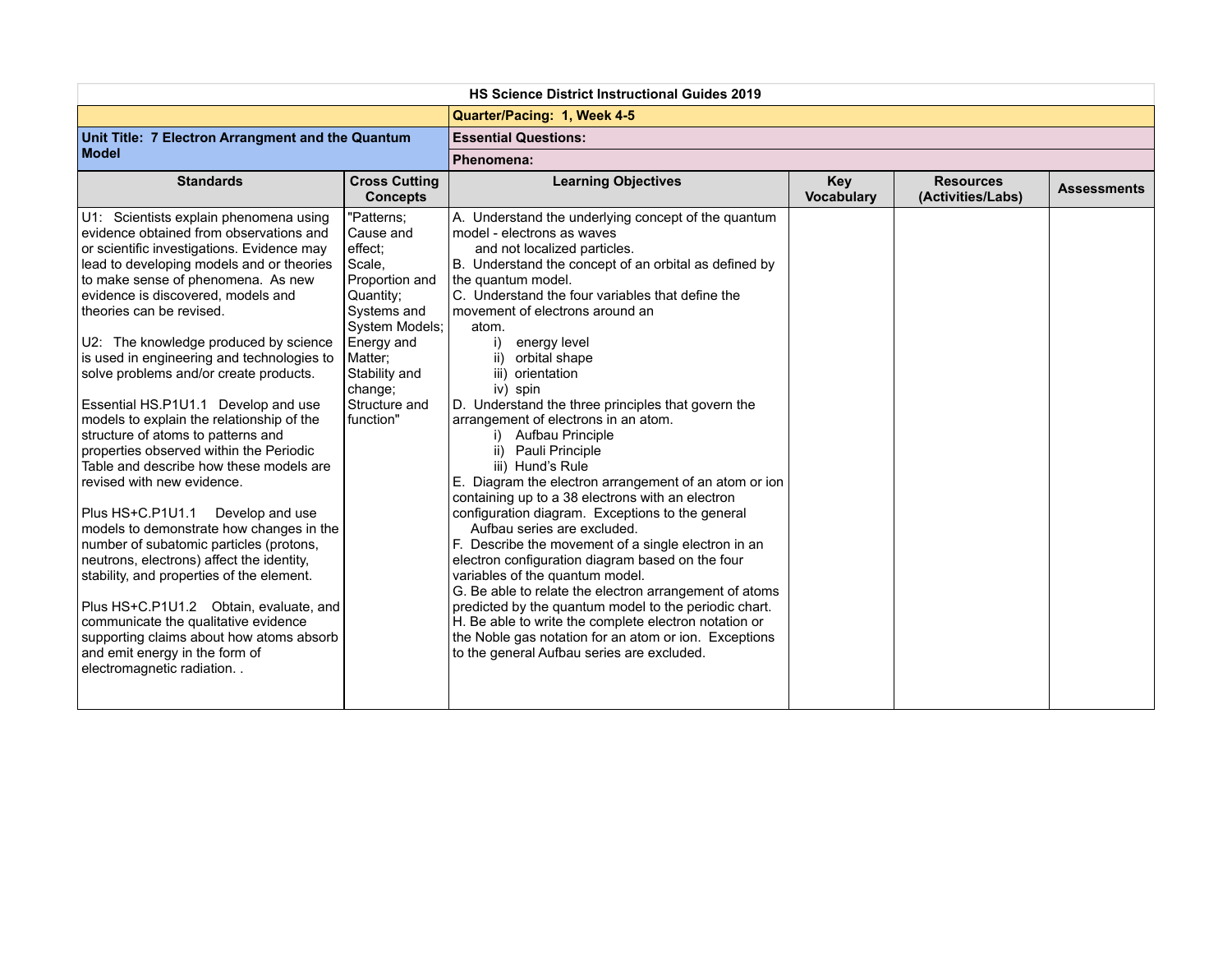| <b>HS Science District Instructional Guides 2019</b>                                                                                                                                                                                                                                                                                                                                                                                                                                                                                                                                                                                                                                                                                                                                                                                                                                                                                                                                                                                                                                     |                                                                                                                                                                                                 |                                                                                                                                                                                                                                                                                                                                                                                                                                                                                                                                                                                                                                                                                                                                                                                                                                                                                                                                                                                                                                                                                                                                                                              |                                 |                                       |                    |  |  |
|------------------------------------------------------------------------------------------------------------------------------------------------------------------------------------------------------------------------------------------------------------------------------------------------------------------------------------------------------------------------------------------------------------------------------------------------------------------------------------------------------------------------------------------------------------------------------------------------------------------------------------------------------------------------------------------------------------------------------------------------------------------------------------------------------------------------------------------------------------------------------------------------------------------------------------------------------------------------------------------------------------------------------------------------------------------------------------------|-------------------------------------------------------------------------------------------------------------------------------------------------------------------------------------------------|------------------------------------------------------------------------------------------------------------------------------------------------------------------------------------------------------------------------------------------------------------------------------------------------------------------------------------------------------------------------------------------------------------------------------------------------------------------------------------------------------------------------------------------------------------------------------------------------------------------------------------------------------------------------------------------------------------------------------------------------------------------------------------------------------------------------------------------------------------------------------------------------------------------------------------------------------------------------------------------------------------------------------------------------------------------------------------------------------------------------------------------------------------------------------|---------------------------------|---------------------------------------|--------------------|--|--|
|                                                                                                                                                                                                                                                                                                                                                                                                                                                                                                                                                                                                                                                                                                                                                                                                                                                                                                                                                                                                                                                                                          |                                                                                                                                                                                                 | Quarter/Pacing: 1, Week 4-5                                                                                                                                                                                                                                                                                                                                                                                                                                                                                                                                                                                                                                                                                                                                                                                                                                                                                                                                                                                                                                                                                                                                                  |                                 |                                       |                    |  |  |
| Unit Title: 7 Electron Arrangment and the Quantum                                                                                                                                                                                                                                                                                                                                                                                                                                                                                                                                                                                                                                                                                                                                                                                                                                                                                                                                                                                                                                        |                                                                                                                                                                                                 | <b>Essential Questions:</b>                                                                                                                                                                                                                                                                                                                                                                                                                                                                                                                                                                                                                                                                                                                                                                                                                                                                                                                                                                                                                                                                                                                                                  |                                 |                                       |                    |  |  |
| Model                                                                                                                                                                                                                                                                                                                                                                                                                                                                                                                                                                                                                                                                                                                                                                                                                                                                                                                                                                                                                                                                                    |                                                                                                                                                                                                 | Phenomena:                                                                                                                                                                                                                                                                                                                                                                                                                                                                                                                                                                                                                                                                                                                                                                                                                                                                                                                                                                                                                                                                                                                                                                   |                                 |                                       |                    |  |  |
| <b>Standards</b>                                                                                                                                                                                                                                                                                                                                                                                                                                                                                                                                                                                                                                                                                                                                                                                                                                                                                                                                                                                                                                                                         | <b>Cross Cutting</b><br><b>Concepts</b>                                                                                                                                                         | <b>Learning Objectives</b>                                                                                                                                                                                                                                                                                                                                                                                                                                                                                                                                                                                                                                                                                                                                                                                                                                                                                                                                                                                                                                                                                                                                                   | <b>Key</b><br><b>Vocabulary</b> | <b>Resources</b><br>(Activities/Labs) | <b>Assessments</b> |  |  |
| U1: Scientists explain phenomena using<br>evidence obtained from observations and<br>or scientific investigations. Evidence may<br>lead to developing models and or theories<br>to make sense of phenomena. As new<br>evidence is discovered, models and<br>theories can be revised.<br>U2: The knowledge produced by science<br>is used in engineering and technologies to<br>solve problems and/or create products.<br>Essential HS.P1U1.1 Develop and use<br>models to explain the relationship of the<br>structure of atoms to patterns and<br>properties observed within the Periodic<br>Table and describe how these models are<br>revised with new evidence.<br>Plus HS+C.P1U1.1<br>Develop and use<br>models to demonstrate how changes in the<br>number of subatomic particles (protons,<br>neutrons, electrons) affect the identity,<br>stability, and properties of the element.<br>Plus HS+C.P1U1.2 Obtain, evaluate, and<br>communicate the qualitative evidence<br>supporting claims about how atoms absorb<br>and emit energy in the form of<br>electromagnetic radiation | "Patterns:<br>Cause and<br>effect;<br>Scale.<br>Proportion and<br>Quantity;<br>Systems and<br>System Models;<br>Energy and<br>Matter;<br>Stability and<br>change;<br>Structure and<br>function" | A. Understand the underlying concept of the quantum<br>model - electrons as waves<br>and not localized particles.<br>B. Understand the concept of an orbital as defined by<br>the quantum model.<br>C. Understand the four variables that define the<br>movement of electrons around an<br>atom.<br>i)<br>energy level<br>ii) orbital shape<br>iii) orientation<br>iv) spin<br>D. Understand the three principles that govern the<br>arrangement of electrons in an atom.<br>i) Aufbau Principle<br>ii) Pauli Principle<br>iii) Hund's Rule<br>E. Diagram the electron arrangement of an atom or ion<br>containing up to a 38 electrons with an electron<br>configuration diagram. Exceptions to the general<br>Aufbau series are excluded.<br>F. Describe the movement of a single electron in an<br>electron configuration diagram based on the four<br>variables of the quantum model.<br>G. Be able to relate the electron arrangement of atoms<br>predicted by the quantum model to the periodic chart.<br>H. Be able to write the complete electron notation or<br>the Noble gas notation for an atom or ion. Exceptions<br>to the general Aufbau series are excluded. |                                 |                                       |                    |  |  |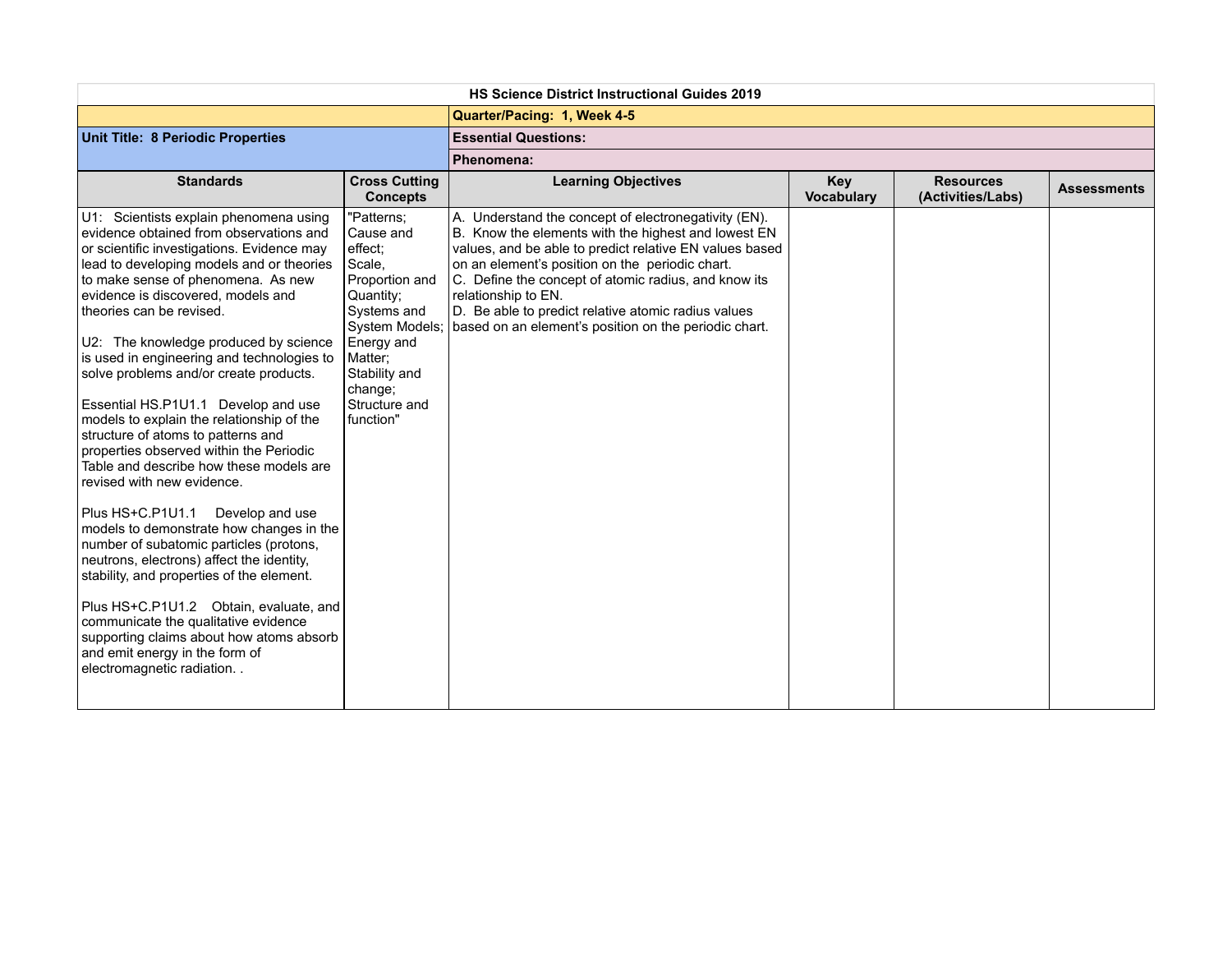| <b>HS Science District Instructional Guides 2019</b>                                                                                                                                                                                                                                                                                                                                                                                                                                                                                                                                                                                                                                                                                                                                                                                                                                                                                                                                                                                                                                     |                                                                                                                                                                                                 |                                                                                                                                                                                                                                                                                                                                                                                                                          |                                 |                                       |                    |
|------------------------------------------------------------------------------------------------------------------------------------------------------------------------------------------------------------------------------------------------------------------------------------------------------------------------------------------------------------------------------------------------------------------------------------------------------------------------------------------------------------------------------------------------------------------------------------------------------------------------------------------------------------------------------------------------------------------------------------------------------------------------------------------------------------------------------------------------------------------------------------------------------------------------------------------------------------------------------------------------------------------------------------------------------------------------------------------|-------------------------------------------------------------------------------------------------------------------------------------------------------------------------------------------------|--------------------------------------------------------------------------------------------------------------------------------------------------------------------------------------------------------------------------------------------------------------------------------------------------------------------------------------------------------------------------------------------------------------------------|---------------------------------|---------------------------------------|--------------------|
|                                                                                                                                                                                                                                                                                                                                                                                                                                                                                                                                                                                                                                                                                                                                                                                                                                                                                                                                                                                                                                                                                          |                                                                                                                                                                                                 | Quarter/Pacing: 1, Week 4-5                                                                                                                                                                                                                                                                                                                                                                                              |                                 |                                       |                    |
| Unit Title: 8 Periodic Properties                                                                                                                                                                                                                                                                                                                                                                                                                                                                                                                                                                                                                                                                                                                                                                                                                                                                                                                                                                                                                                                        |                                                                                                                                                                                                 | <b>Essential Questions:</b>                                                                                                                                                                                                                                                                                                                                                                                              |                                 |                                       |                    |
|                                                                                                                                                                                                                                                                                                                                                                                                                                                                                                                                                                                                                                                                                                                                                                                                                                                                                                                                                                                                                                                                                          |                                                                                                                                                                                                 | Phenomena:                                                                                                                                                                                                                                                                                                                                                                                                               |                                 |                                       |                    |
| <b>Standards</b>                                                                                                                                                                                                                                                                                                                                                                                                                                                                                                                                                                                                                                                                                                                                                                                                                                                                                                                                                                                                                                                                         | <b>Cross Cutting</b><br><b>Concepts</b>                                                                                                                                                         | <b>Learning Objectives</b>                                                                                                                                                                                                                                                                                                                                                                                               | <b>Key</b><br><b>Vocabulary</b> | <b>Resources</b><br>(Activities/Labs) | <b>Assessments</b> |
| U1: Scientists explain phenomena using<br>evidence obtained from observations and<br>or scientific investigations. Evidence may<br>lead to developing models and or theories<br>to make sense of phenomena. As new<br>evidence is discovered, models and<br>theories can be revised.<br>U2: The knowledge produced by science<br>is used in engineering and technologies to<br>solve problems and/or create products.<br>Essential HS.P1U1.1 Develop and use<br>models to explain the relationship of the<br>structure of atoms to patterns and<br>properties observed within the Periodic<br>Table and describe how these models are<br>revised with new evidence.<br>Plus HS+C.P1U1.1<br>Develop and use<br>models to demonstrate how changes in the<br>number of subatomic particles (protons,<br>neutrons, electrons) affect the identity,<br>stability, and properties of the element.<br>Plus HS+C.P1U1.2 Obtain, evaluate, and<br>communicate the qualitative evidence<br>supporting claims about how atoms absorb<br>and emit energy in the form of<br>electromagnetic radiation | "Patterns;<br>Cause and<br>effect:<br>Scale,<br>Proportion and<br>Quantity;<br>Systems and<br>System Models;<br>Energy and<br>Matter;<br>Stability and<br>change;<br>Structure and<br>function" | A. Understand the concept of electronegativity (EN).<br>B. Know the elements with the highest and lowest EN<br>values, and be able to predict relative EN values based<br>on an element's position on the periodic chart.<br>C. Define the concept of atomic radius, and know its<br>relationship to EN.<br>D. Be able to predict relative atomic radius values<br>based on an element's position on the periodic chart. |                                 |                                       |                    |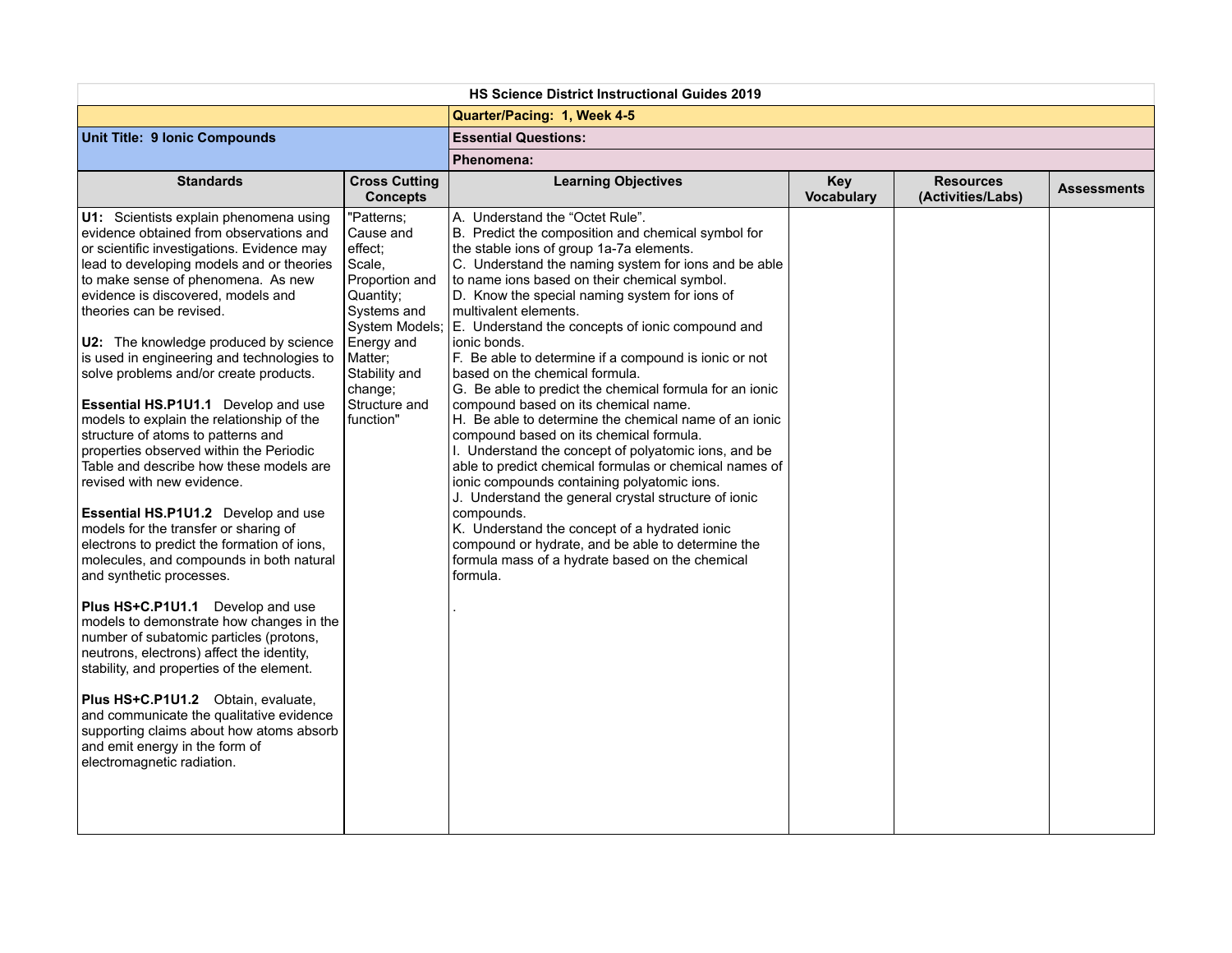| <b>HS Science District Instructional Guides 2019</b>                                                                                                                                                                                                                                                                                                                                                                                                                                                                                                                                                                                                                                                                                                                                                                                                                                                                                                                                                                                                                                                                                                                                                                                                                                          |                                                                                                                                                                               |                                                                                                                                                                                                                                                                                                                                                                                                                                                                                                                                                                                                                                                                                                                                                                                                                                                                                                                                                                                                                                                                                                                      |                                 |                                       |                    |
|-----------------------------------------------------------------------------------------------------------------------------------------------------------------------------------------------------------------------------------------------------------------------------------------------------------------------------------------------------------------------------------------------------------------------------------------------------------------------------------------------------------------------------------------------------------------------------------------------------------------------------------------------------------------------------------------------------------------------------------------------------------------------------------------------------------------------------------------------------------------------------------------------------------------------------------------------------------------------------------------------------------------------------------------------------------------------------------------------------------------------------------------------------------------------------------------------------------------------------------------------------------------------------------------------|-------------------------------------------------------------------------------------------------------------------------------------------------------------------------------|----------------------------------------------------------------------------------------------------------------------------------------------------------------------------------------------------------------------------------------------------------------------------------------------------------------------------------------------------------------------------------------------------------------------------------------------------------------------------------------------------------------------------------------------------------------------------------------------------------------------------------------------------------------------------------------------------------------------------------------------------------------------------------------------------------------------------------------------------------------------------------------------------------------------------------------------------------------------------------------------------------------------------------------------------------------------------------------------------------------------|---------------------------------|---------------------------------------|--------------------|
|                                                                                                                                                                                                                                                                                                                                                                                                                                                                                                                                                                                                                                                                                                                                                                                                                                                                                                                                                                                                                                                                                                                                                                                                                                                                                               |                                                                                                                                                                               | Quarter/Pacing: 1, Week 4-5                                                                                                                                                                                                                                                                                                                                                                                                                                                                                                                                                                                                                                                                                                                                                                                                                                                                                                                                                                                                                                                                                          |                                 |                                       |                    |
| Unit Title: 9 Ionic Compounds                                                                                                                                                                                                                                                                                                                                                                                                                                                                                                                                                                                                                                                                                                                                                                                                                                                                                                                                                                                                                                                                                                                                                                                                                                                                 |                                                                                                                                                                               | <b>Essential Questions:</b>                                                                                                                                                                                                                                                                                                                                                                                                                                                                                                                                                                                                                                                                                                                                                                                                                                                                                                                                                                                                                                                                                          |                                 |                                       |                    |
|                                                                                                                                                                                                                                                                                                                                                                                                                                                                                                                                                                                                                                                                                                                                                                                                                                                                                                                                                                                                                                                                                                                                                                                                                                                                                               |                                                                                                                                                                               | Phenomena:                                                                                                                                                                                                                                                                                                                                                                                                                                                                                                                                                                                                                                                                                                                                                                                                                                                                                                                                                                                                                                                                                                           |                                 |                                       |                    |
| <b>Standards</b>                                                                                                                                                                                                                                                                                                                                                                                                                                                                                                                                                                                                                                                                                                                                                                                                                                                                                                                                                                                                                                                                                                                                                                                                                                                                              | <b>Cross Cutting</b><br><b>Concepts</b>                                                                                                                                       | <b>Learning Objectives</b>                                                                                                                                                                                                                                                                                                                                                                                                                                                                                                                                                                                                                                                                                                                                                                                                                                                                                                                                                                                                                                                                                           | <b>Key</b><br><b>Vocabulary</b> | <b>Resources</b><br>(Activities/Labs) | <b>Assessments</b> |
| U1: Scientists explain phenomena using<br>evidence obtained from observations and<br>or scientific investigations. Evidence may<br>lead to developing models and or theories<br>to make sense of phenomena. As new<br>evidence is discovered, models and<br>theories can be revised.<br>U2: The knowledge produced by science<br>is used in engineering and technologies to<br>solve problems and/or create products.<br>Essential HS.P1U1.1 Develop and use<br>models to explain the relationship of the<br>structure of atoms to patterns and<br>properties observed within the Periodic<br>Table and describe how these models are<br>revised with new evidence.<br>Essential HS.P1U1.2 Develop and use<br>models for the transfer or sharing of<br>electrons to predict the formation of ions,<br>molecules, and compounds in both natural<br>and synthetic processes.<br>Plus HS+C.P1U1.1 Develop and use<br>models to demonstrate how changes in the<br>number of subatomic particles (protons,<br>neutrons, electrons) affect the identity,<br>stability, and properties of the element.<br>Plus HS+C.P1U1.2 Obtain, evaluate,<br>and communicate the qualitative evidence<br>supporting claims about how atoms absorb<br>and emit energy in the form of<br>electromagnetic radiation. | "Patterns;<br>Cause and<br>effect:<br>Scale,<br>Proportion and<br>Quantity;<br>Systems and<br>Energy and<br>Matter;<br>Stability and<br>change;<br>Structure and<br>function" | A. Understand the "Octet Rule".<br>B. Predict the composition and chemical symbol for<br>the stable ions of group 1a-7a elements.<br>C. Understand the naming system for ions and be able<br>to name ions based on their chemical symbol.<br>D. Know the special naming system for ions of<br>multivalent elements.<br>System Models; E. Understand the concepts of ionic compound and<br>ionic bonds.<br>F. Be able to determine if a compound is ionic or not<br>based on the chemical formula.<br>G. Be able to predict the chemical formula for an ionic<br>compound based on its chemical name.<br>H. Be able to determine the chemical name of an ionic<br>compound based on its chemical formula.<br>I. Understand the concept of polyatomic ions, and be<br>able to predict chemical formulas or chemical names of<br>ionic compounds containing polyatomic ions.<br>J. Understand the general crystal structure of ionic<br>compounds.<br>K. Understand the concept of a hydrated ionic<br>compound or hydrate, and be able to determine the<br>formula mass of a hydrate based on the chemical<br>formula. |                                 |                                       |                    |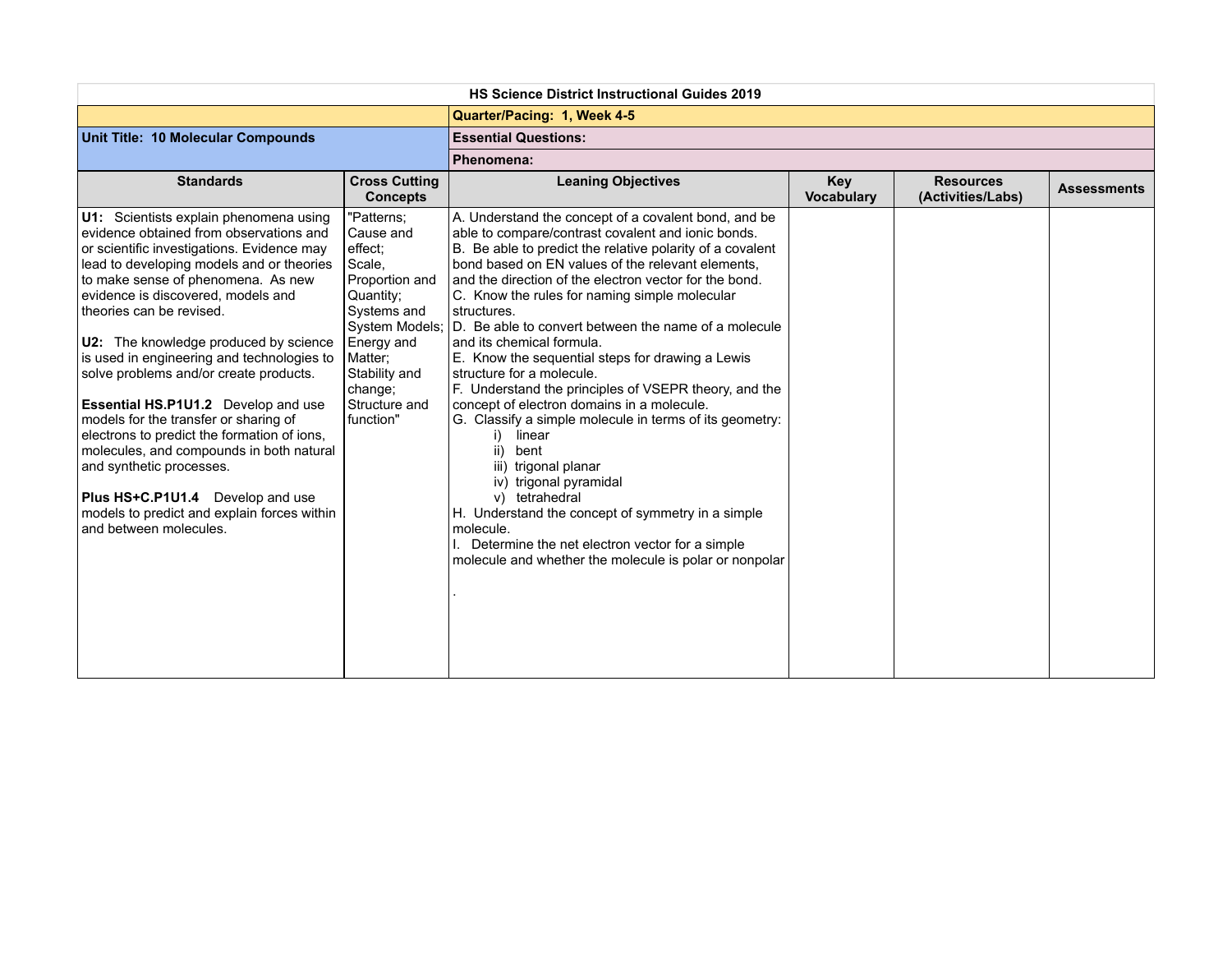| <b>HS Science District Instructional Guides 2019</b>                                                                                                                                                                                                                                                                                                                                                                                                                                                                                                                                                                                                                                                                                             |                                                                                                                                                                               |                                                                                                                                                                                                                                                                                                                                                                                                                                                                                                                                                                                                                                                                                                                                                                                                                                                                                                                                                                                                |                                 |                                       |                    |
|--------------------------------------------------------------------------------------------------------------------------------------------------------------------------------------------------------------------------------------------------------------------------------------------------------------------------------------------------------------------------------------------------------------------------------------------------------------------------------------------------------------------------------------------------------------------------------------------------------------------------------------------------------------------------------------------------------------------------------------------------|-------------------------------------------------------------------------------------------------------------------------------------------------------------------------------|------------------------------------------------------------------------------------------------------------------------------------------------------------------------------------------------------------------------------------------------------------------------------------------------------------------------------------------------------------------------------------------------------------------------------------------------------------------------------------------------------------------------------------------------------------------------------------------------------------------------------------------------------------------------------------------------------------------------------------------------------------------------------------------------------------------------------------------------------------------------------------------------------------------------------------------------------------------------------------------------|---------------------------------|---------------------------------------|--------------------|
|                                                                                                                                                                                                                                                                                                                                                                                                                                                                                                                                                                                                                                                                                                                                                  |                                                                                                                                                                               | Quarter/Pacing: 1, Week 4-5                                                                                                                                                                                                                                                                                                                                                                                                                                                                                                                                                                                                                                                                                                                                                                                                                                                                                                                                                                    |                                 |                                       |                    |
| Unit Title: 10 Molecular Compounds                                                                                                                                                                                                                                                                                                                                                                                                                                                                                                                                                                                                                                                                                                               |                                                                                                                                                                               | <b>Essential Questions:</b>                                                                                                                                                                                                                                                                                                                                                                                                                                                                                                                                                                                                                                                                                                                                                                                                                                                                                                                                                                    |                                 |                                       |                    |
|                                                                                                                                                                                                                                                                                                                                                                                                                                                                                                                                                                                                                                                                                                                                                  |                                                                                                                                                                               | Phenomena:                                                                                                                                                                                                                                                                                                                                                                                                                                                                                                                                                                                                                                                                                                                                                                                                                                                                                                                                                                                     |                                 |                                       |                    |
| <b>Standards</b>                                                                                                                                                                                                                                                                                                                                                                                                                                                                                                                                                                                                                                                                                                                                 | <b>Cross Cutting</b><br><b>Concepts</b>                                                                                                                                       | <b>Leaning Objectives</b>                                                                                                                                                                                                                                                                                                                                                                                                                                                                                                                                                                                                                                                                                                                                                                                                                                                                                                                                                                      | <b>Key</b><br><b>Vocabulary</b> | <b>Resources</b><br>(Activities/Labs) | <b>Assessments</b> |
| U1: Scientists explain phenomena using<br>evidence obtained from observations and<br>or scientific investigations. Evidence may<br>lead to developing models and or theories<br>to make sense of phenomena. As new<br>evidence is discovered, models and<br>theories can be revised.<br>U2: The knowledge produced by science<br>is used in engineering and technologies to<br>solve problems and/or create products.<br>Essential HS.P1U1.2 Develop and use<br>models for the transfer or sharing of<br>electrons to predict the formation of ions,<br>molecules, and compounds in both natural<br>and synthetic processes.<br><b>Plus HS+C.P1U1.4</b> Develop and use<br>models to predict and explain forces within<br>and between molecules. | "Patterns;<br>Cause and<br>effect:<br>Scale,<br>Proportion and<br>Quantity:<br>Systems and<br>Energy and<br>Matter:<br>Stability and<br>change:<br>Structure and<br>function" | A. Understand the concept of a covalent bond, and be<br>able to compare/contrast covalent and ionic bonds.<br>B. Be able to predict the relative polarity of a covalent<br>bond based on EN values of the relevant elements.<br>and the direction of the electron vector for the bond.<br>C. Know the rules for naming simple molecular<br>structures.<br>System Models; D. Be able to convert between the name of a molecule<br>and its chemical formula.<br>E. Know the sequential steps for drawing a Lewis<br>structure for a molecule.<br>F. Understand the principles of VSEPR theory, and the<br>concept of electron domains in a molecule.<br>G. Classify a simple molecule in terms of its geometry:<br>linear<br>i)<br>bent<br>ii)<br>iii) trigonal planar<br>iv) trigonal pyramidal<br>v) tetrahedral<br>H. Understand the concept of symmetry in a simple<br>molecule.<br>Determine the net electron vector for a simple<br>molecule and whether the molecule is polar or nonpolar |                                 |                                       |                    |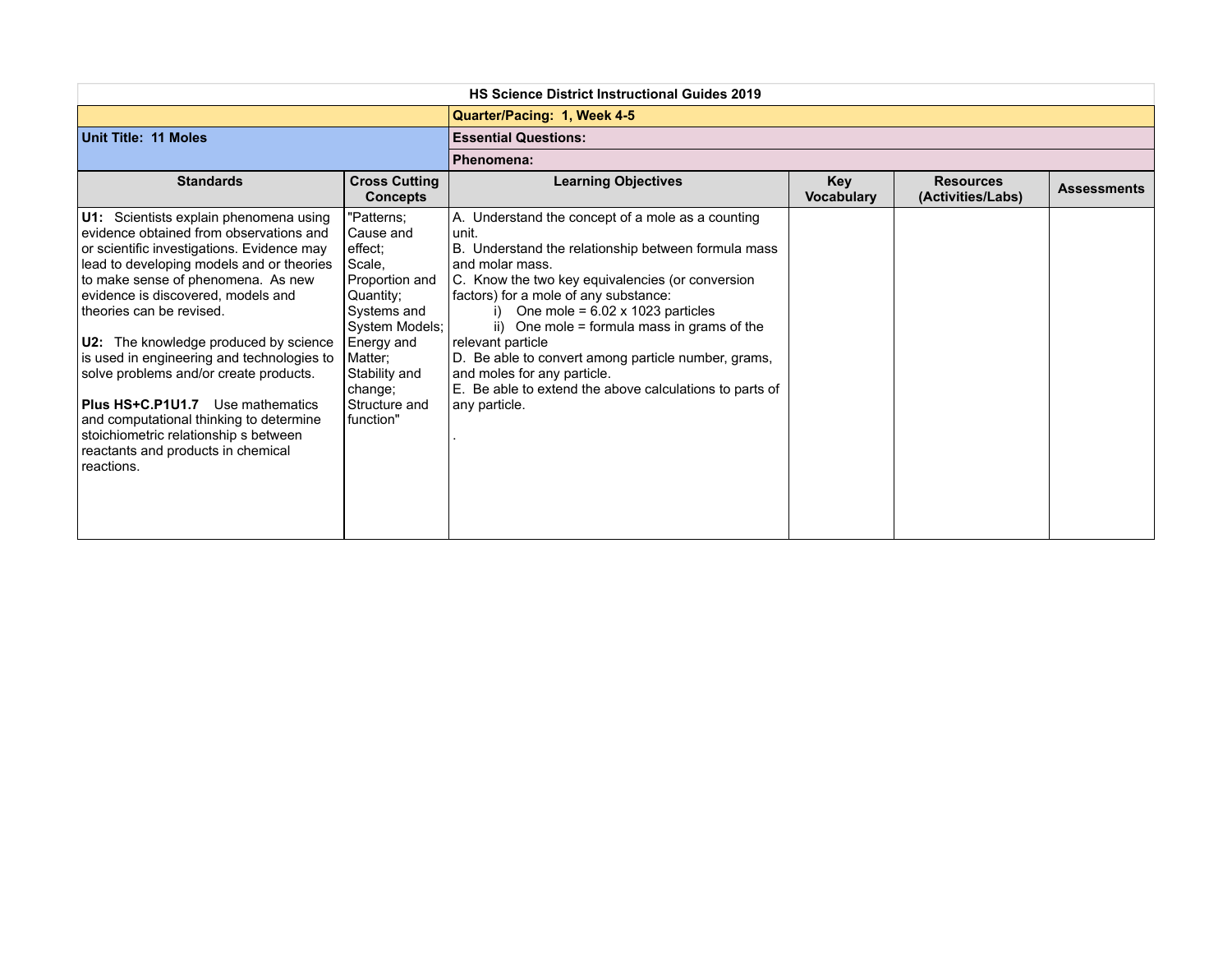| <b>HS Science District Instructional Guides 2019</b>                                                                                                                                                                                                                                                                                                                                                                                                                                                                                                                                                     |                                                                                                                                                                                                   |                                                                                                                                                                                                                                                                                                                                                                                                                                                                                                                       |                                 |                                       |                    |
|----------------------------------------------------------------------------------------------------------------------------------------------------------------------------------------------------------------------------------------------------------------------------------------------------------------------------------------------------------------------------------------------------------------------------------------------------------------------------------------------------------------------------------------------------------------------------------------------------------|---------------------------------------------------------------------------------------------------------------------------------------------------------------------------------------------------|-----------------------------------------------------------------------------------------------------------------------------------------------------------------------------------------------------------------------------------------------------------------------------------------------------------------------------------------------------------------------------------------------------------------------------------------------------------------------------------------------------------------------|---------------------------------|---------------------------------------|--------------------|
|                                                                                                                                                                                                                                                                                                                                                                                                                                                                                                                                                                                                          |                                                                                                                                                                                                   | Quarter/Pacing: 1, Week 4-5                                                                                                                                                                                                                                                                                                                                                                                                                                                                                           |                                 |                                       |                    |
| Unit Title: 11 Moles                                                                                                                                                                                                                                                                                                                                                                                                                                                                                                                                                                                     |                                                                                                                                                                                                   | <b>Essential Questions:</b>                                                                                                                                                                                                                                                                                                                                                                                                                                                                                           |                                 |                                       |                    |
|                                                                                                                                                                                                                                                                                                                                                                                                                                                                                                                                                                                                          |                                                                                                                                                                                                   | Phenomena:                                                                                                                                                                                                                                                                                                                                                                                                                                                                                                            |                                 |                                       |                    |
| <b>Standards</b>                                                                                                                                                                                                                                                                                                                                                                                                                                                                                                                                                                                         | <b>Cross Cutting</b><br><b>Concepts</b>                                                                                                                                                           | <b>Learning Objectives</b>                                                                                                                                                                                                                                                                                                                                                                                                                                                                                            | <b>Key</b><br><b>Vocabulary</b> | <b>Resources</b><br>(Activities/Labs) | <b>Assessments</b> |
| U1: Scientists explain phenomena using<br>evidence obtained from observations and<br>or scientific investigations. Evidence may<br>lead to developing models and or theories<br>to make sense of phenomena. As new<br>evidence is discovered, models and<br>theories can be revised.<br>U2: The knowledge produced by science<br>is used in engineering and technologies to<br>solve problems and/or create products.<br><b>Plus HS+C.P1U1.7</b> Use mathematics<br>and computational thinking to determine<br>stoichiometric relationship s between<br>reactants and products in chemical<br>reactions. | "Patterns;<br>Cause and<br>effect:<br>Scale,<br>Proportion and<br>Quantity;<br>Systems and<br>System Models;<br>Energy and<br>Matter:<br>Stability and<br>change;<br>Structure and<br>l function" | A. Understand the concept of a mole as a counting<br>unit.<br>B. Understand the relationship between formula mass<br>and molar mass.<br>C. Know the two key equivalencies (or conversion<br>factors) for a mole of any substance:<br>i) One mole = $6.02 \times 1023$ particles<br>ii) One mole = formula mass in grams of the<br>relevant particle<br>D. Be able to convert among particle number, grams,<br>and moles for any particle.<br>E. Be able to extend the above calculations to parts of<br>any particle. |                                 |                                       |                    |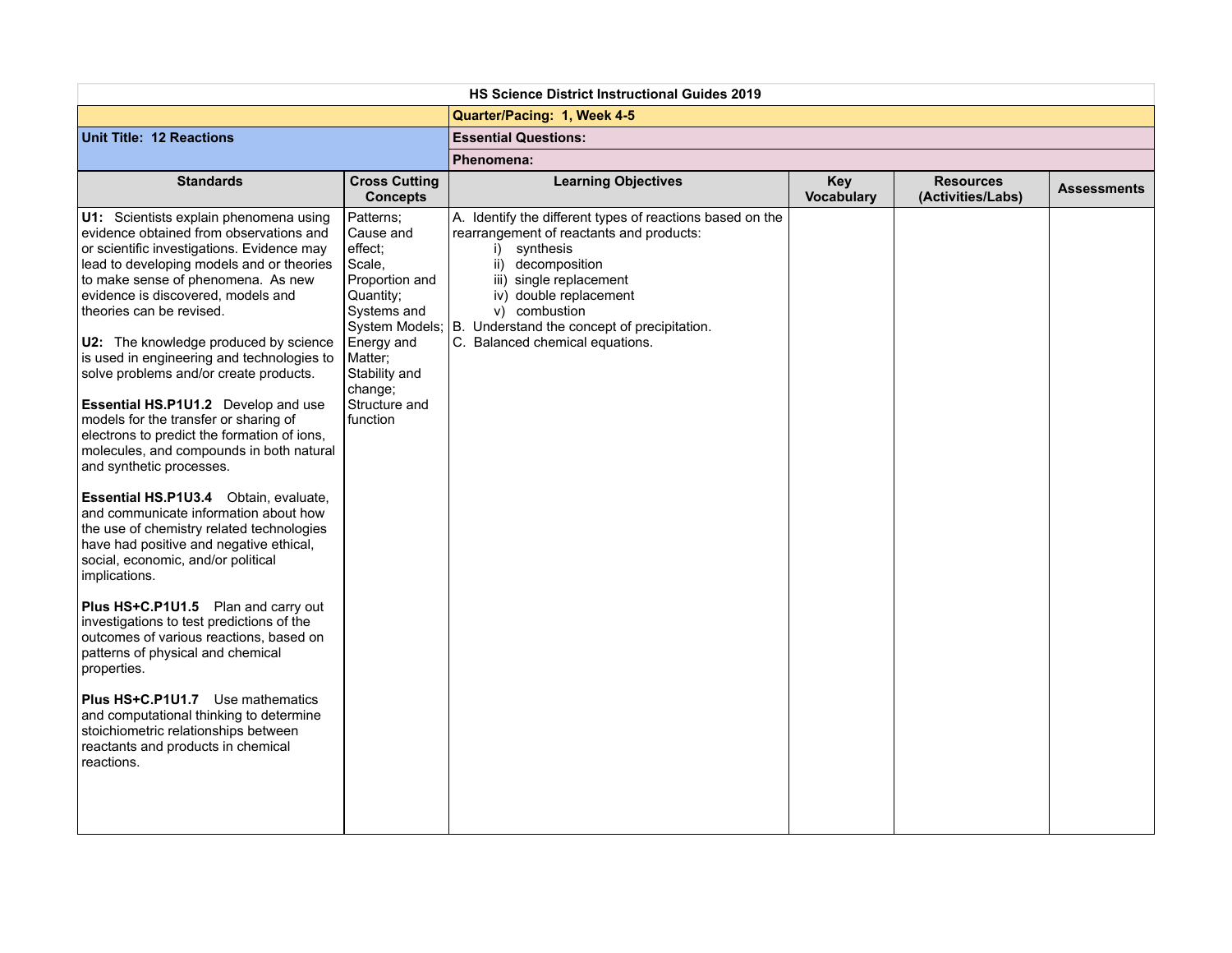| Quarter/Pacing: 1, Week 4-5<br><b>Essential Questions:</b><br>Phenomena:<br><b>Standards</b><br><b>Cross Cutting</b><br><b>Learning Objectives</b><br><b>Key</b><br><b>Resources</b><br><b>Assessments</b><br><b>Vocabulary</b><br>(Activities/Labs)<br><b>Concepts</b><br>U1: Scientists explain phenomena using<br>Patterns;<br>A. Identify the different types of reactions based on the<br>evidence obtained from observations and<br>Cause and<br>rearrangement of reactants and products:<br>or scientific investigations. Evidence may<br>i) synthesis<br>effect:<br>lead to developing models and or theories<br>Scale,<br>ii) decomposition<br>to make sense of phenomena. As new<br>Proportion and<br>iii) single replacement<br>evidence is discovered, models and<br>Quantity;<br>iv) double replacement<br>v) combustion<br>theories can be revised.<br>Systems and<br>System Models; B. Understand the concept of precipitation.<br>C. Balanced chemical equations.<br>U2: The knowledge produced by science<br>Energy and<br>is used in engineering and technologies to<br>Matter;<br>solve problems and/or create products.<br>Stability and<br>change;<br>Essential HS.P1U1.2 Develop and use<br>Structure and<br>models for the transfer or sharing of<br>function<br>electrons to predict the formation of ions,<br>molecules, and compounds in both natural<br>and synthetic processes.<br>Essential HS.P1U3.4 Obtain, evaluate,<br>and communicate information about how<br>the use of chemistry related technologies<br>have had positive and negative ethical,<br>social, economic, and/or political<br>implications.<br>Plus HS+C.P1U1.5 Plan and carry out<br>investigations to test predictions of the<br>outcomes of various reactions, based on<br>patterns of physical and chemical<br>properties.<br><b>Plus HS+C.P1U1.7</b> Use mathematics<br>and computational thinking to determine<br>stoichiometric relationships between<br>reactants and products in chemical<br>reactions. | <b>HS Science District Instructional Guides 2019</b> |  |  |  |  |  |  |  |
|-------------------------------------------------------------------------------------------------------------------------------------------------------------------------------------------------------------------------------------------------------------------------------------------------------------------------------------------------------------------------------------------------------------------------------------------------------------------------------------------------------------------------------------------------------------------------------------------------------------------------------------------------------------------------------------------------------------------------------------------------------------------------------------------------------------------------------------------------------------------------------------------------------------------------------------------------------------------------------------------------------------------------------------------------------------------------------------------------------------------------------------------------------------------------------------------------------------------------------------------------------------------------------------------------------------------------------------------------------------------------------------------------------------------------------------------------------------------------------------------------------------------------------------------------------------------------------------------------------------------------------------------------------------------------------------------------------------------------------------------------------------------------------------------------------------------------------------------------------------------------------------------------------------------------------------------------------------------------------------------------------------------|------------------------------------------------------|--|--|--|--|--|--|--|
|                                                                                                                                                                                                                                                                                                                                                                                                                                                                                                                                                                                                                                                                                                                                                                                                                                                                                                                                                                                                                                                                                                                                                                                                                                                                                                                                                                                                                                                                                                                                                                                                                                                                                                                                                                                                                                                                                                                                                                                                                   |                                                      |  |  |  |  |  |  |  |
|                                                                                                                                                                                                                                                                                                                                                                                                                                                                                                                                                                                                                                                                                                                                                                                                                                                                                                                                                                                                                                                                                                                                                                                                                                                                                                                                                                                                                                                                                                                                                                                                                                                                                                                                                                                                                                                                                                                                                                                                                   | <b>Unit Title: 12 Reactions</b>                      |  |  |  |  |  |  |  |
|                                                                                                                                                                                                                                                                                                                                                                                                                                                                                                                                                                                                                                                                                                                                                                                                                                                                                                                                                                                                                                                                                                                                                                                                                                                                                                                                                                                                                                                                                                                                                                                                                                                                                                                                                                                                                                                                                                                                                                                                                   |                                                      |  |  |  |  |  |  |  |
|                                                                                                                                                                                                                                                                                                                                                                                                                                                                                                                                                                                                                                                                                                                                                                                                                                                                                                                                                                                                                                                                                                                                                                                                                                                                                                                                                                                                                                                                                                                                                                                                                                                                                                                                                                                                                                                                                                                                                                                                                   |                                                      |  |  |  |  |  |  |  |
|                                                                                                                                                                                                                                                                                                                                                                                                                                                                                                                                                                                                                                                                                                                                                                                                                                                                                                                                                                                                                                                                                                                                                                                                                                                                                                                                                                                                                                                                                                                                                                                                                                                                                                                                                                                                                                                                                                                                                                                                                   |                                                      |  |  |  |  |  |  |  |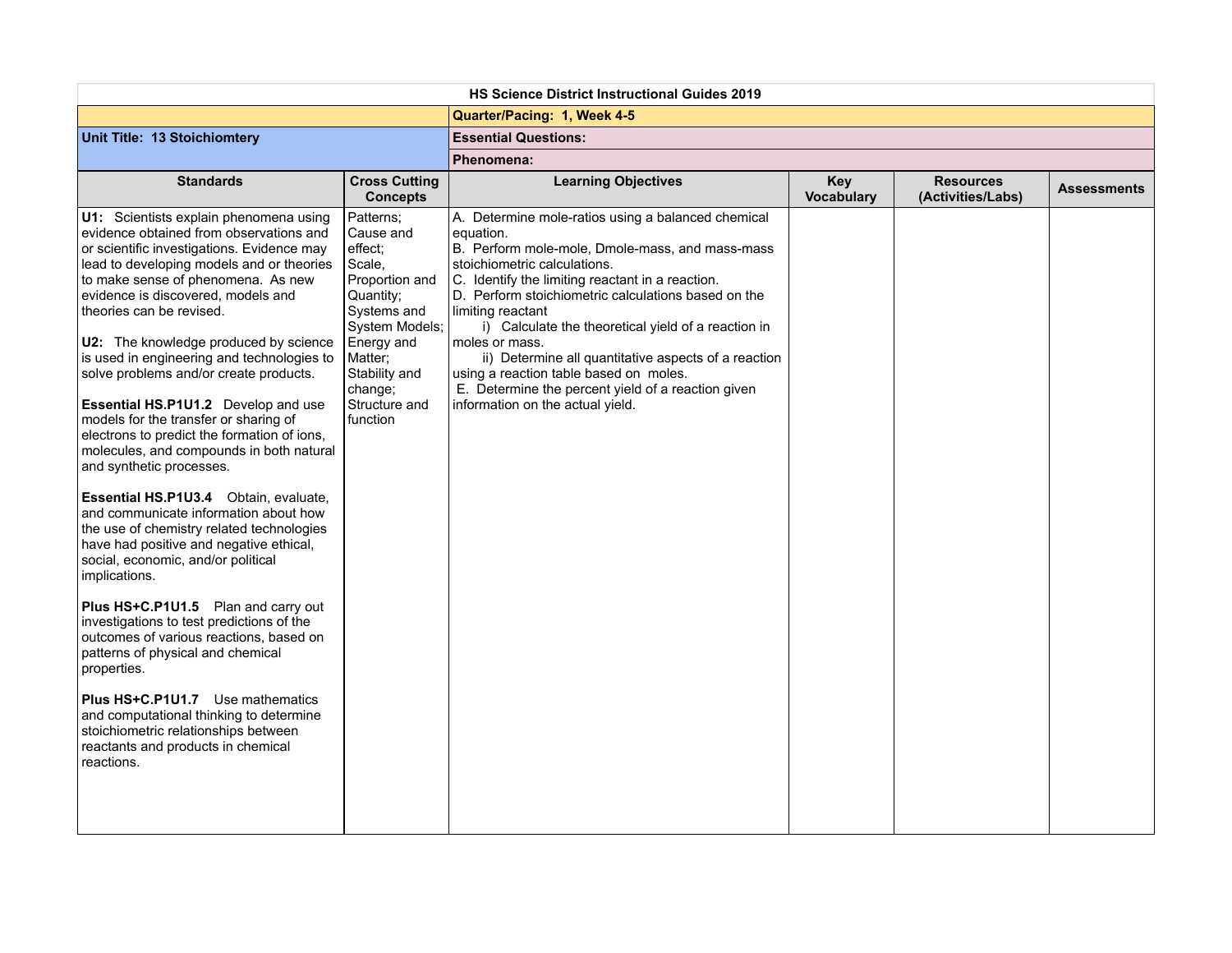| <b>HS Science District Instructional Guides 2019</b>                                                                                                                                                                                                                                                                                                                                                                                                                                                                                                                                                                                                                                                                                                                                                                                                                                                                                                                                                                                                                                                                                                                                                                               |                                                                                                                                                                                               |                                                                                                                                                                                                                                                                                                                                                                                                                                                                                                                                                         |                                 |                                       |                    |  |  |
|------------------------------------------------------------------------------------------------------------------------------------------------------------------------------------------------------------------------------------------------------------------------------------------------------------------------------------------------------------------------------------------------------------------------------------------------------------------------------------------------------------------------------------------------------------------------------------------------------------------------------------------------------------------------------------------------------------------------------------------------------------------------------------------------------------------------------------------------------------------------------------------------------------------------------------------------------------------------------------------------------------------------------------------------------------------------------------------------------------------------------------------------------------------------------------------------------------------------------------|-----------------------------------------------------------------------------------------------------------------------------------------------------------------------------------------------|---------------------------------------------------------------------------------------------------------------------------------------------------------------------------------------------------------------------------------------------------------------------------------------------------------------------------------------------------------------------------------------------------------------------------------------------------------------------------------------------------------------------------------------------------------|---------------------------------|---------------------------------------|--------------------|--|--|
|                                                                                                                                                                                                                                                                                                                                                                                                                                                                                                                                                                                                                                                                                                                                                                                                                                                                                                                                                                                                                                                                                                                                                                                                                                    |                                                                                                                                                                                               | Quarter/Pacing: 1, Week 4-5                                                                                                                                                                                                                                                                                                                                                                                                                                                                                                                             |                                 |                                       |                    |  |  |
| Unit Title: 13 Stoichiomtery                                                                                                                                                                                                                                                                                                                                                                                                                                                                                                                                                                                                                                                                                                                                                                                                                                                                                                                                                                                                                                                                                                                                                                                                       |                                                                                                                                                                                               | <b>Essential Questions:</b>                                                                                                                                                                                                                                                                                                                                                                                                                                                                                                                             |                                 |                                       |                    |  |  |
|                                                                                                                                                                                                                                                                                                                                                                                                                                                                                                                                                                                                                                                                                                                                                                                                                                                                                                                                                                                                                                                                                                                                                                                                                                    |                                                                                                                                                                                               | Phenomena:                                                                                                                                                                                                                                                                                                                                                                                                                                                                                                                                              |                                 |                                       |                    |  |  |
| <b>Standards</b>                                                                                                                                                                                                                                                                                                                                                                                                                                                                                                                                                                                                                                                                                                                                                                                                                                                                                                                                                                                                                                                                                                                                                                                                                   | <b>Cross Cutting</b><br><b>Concepts</b>                                                                                                                                                       | <b>Learning Objectives</b>                                                                                                                                                                                                                                                                                                                                                                                                                                                                                                                              | <b>Key</b><br><b>Vocabulary</b> | <b>Resources</b><br>(Activities/Labs) | <b>Assessments</b> |  |  |
| U1: Scientists explain phenomena using<br>evidence obtained from observations and<br>or scientific investigations. Evidence may<br>lead to developing models and or theories<br>to make sense of phenomena. As new<br>evidence is discovered, models and<br>theories can be revised.<br>U2: The knowledge produced by science<br>is used in engineering and technologies to<br>solve problems and/or create products.<br>Essential HS.P1U1.2 Develop and use<br>models for the transfer or sharing of<br>electrons to predict the formation of ions,<br>molecules, and compounds in both natural<br>and synthetic processes.<br>Essential HS.P1U3.4 Obtain, evaluate,<br>and communicate information about how<br>the use of chemistry related technologies<br>have had positive and negative ethical,<br>social, economic, and/or political<br>implications.<br>Plus HS+C.P1U1.5 Plan and carry out<br>investigations to test predictions of the<br>outcomes of various reactions, based on<br>patterns of physical and chemical<br>properties.<br><b>Plus HS+C.P1U1.7</b> Use mathematics<br>and computational thinking to determine<br>stoichiometric relationships between<br>reactants and products in chemical<br>reactions. | Patterns;<br>Cause and<br>effect;<br>Scale,<br>Proportion and<br>Quantity;<br>Systems and<br>System Models;<br>Energy and<br>Matter;<br>Stability and<br>change;<br>Structure and<br>function | A. Determine mole-ratios using a balanced chemical<br>equation.<br>B. Perform mole-mole, Dmole-mass, and mass-mass<br>stoichiometric calculations.<br>C. Identify the limiting reactant in a reaction.<br>D. Perform stoichiometric calculations based on the<br>limiting reactant<br>i) Calculate the theoretical yield of a reaction in<br>moles or mass.<br>ii) Determine all quantitative aspects of a reaction<br>using a reaction table based on moles.<br>E. Determine the percent yield of a reaction given<br>information on the actual yield. |                                 |                                       |                    |  |  |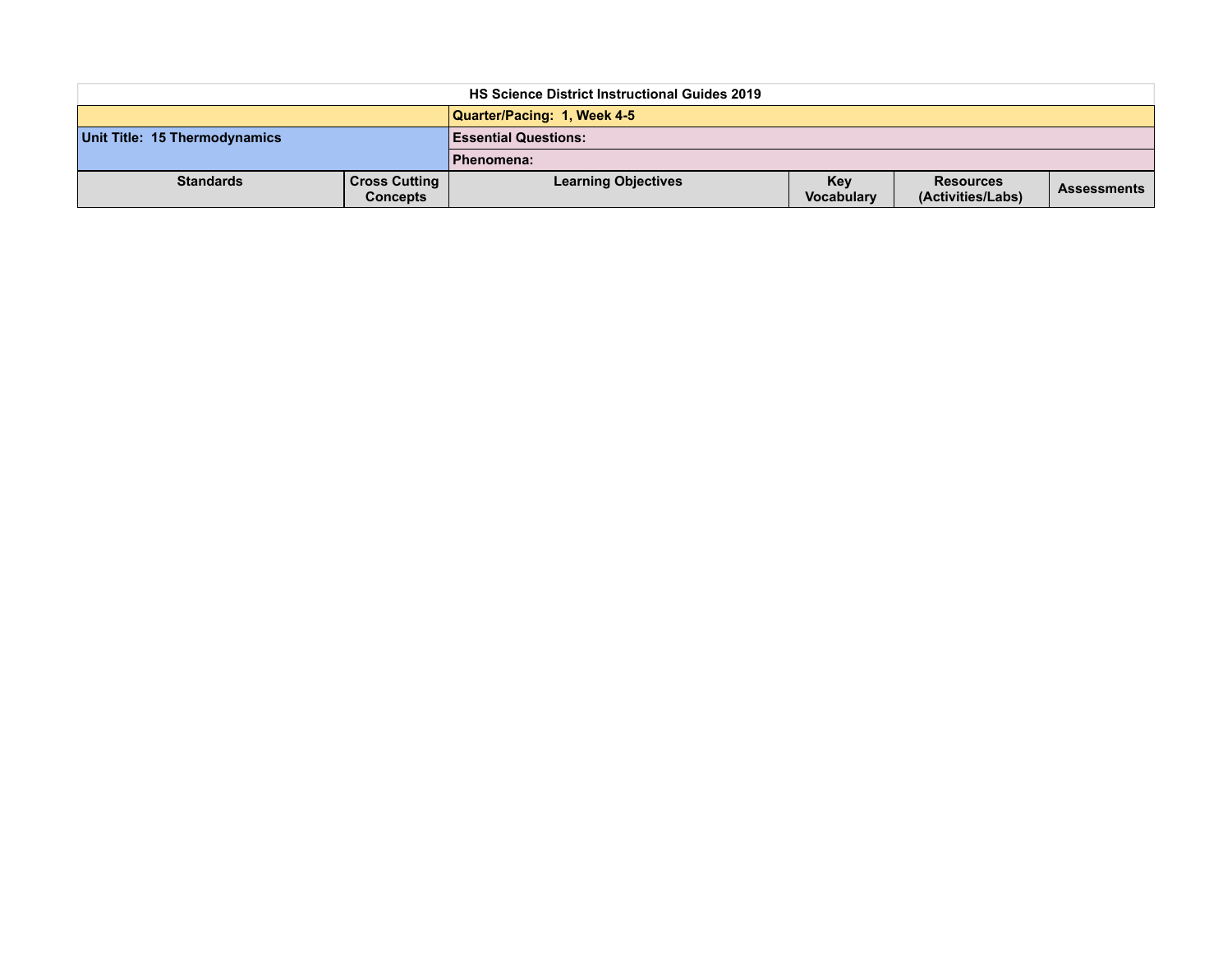| <b>HS Science District Instructional Guides 2019</b> |                                         |                             |                   |                                       |                    |  |
|------------------------------------------------------|-----------------------------------------|-----------------------------|-------------------|---------------------------------------|--------------------|--|
|                                                      |                                         | Quarter/Pacing: 1, Week 4-5 |                   |                                       |                    |  |
| Unit Title: 15 Thermodynamics                        |                                         | <b>Essential Questions:</b> |                   |                                       |                    |  |
|                                                      |                                         | Phenomena:                  |                   |                                       |                    |  |
| <b>Standards</b>                                     | <b>Cross Cutting</b><br><b>Concepts</b> | <b>Learning Objectives</b>  | Key<br>Vocabulary | <b>Resources</b><br>(Activities/Labs) | <b>Assessments</b> |  |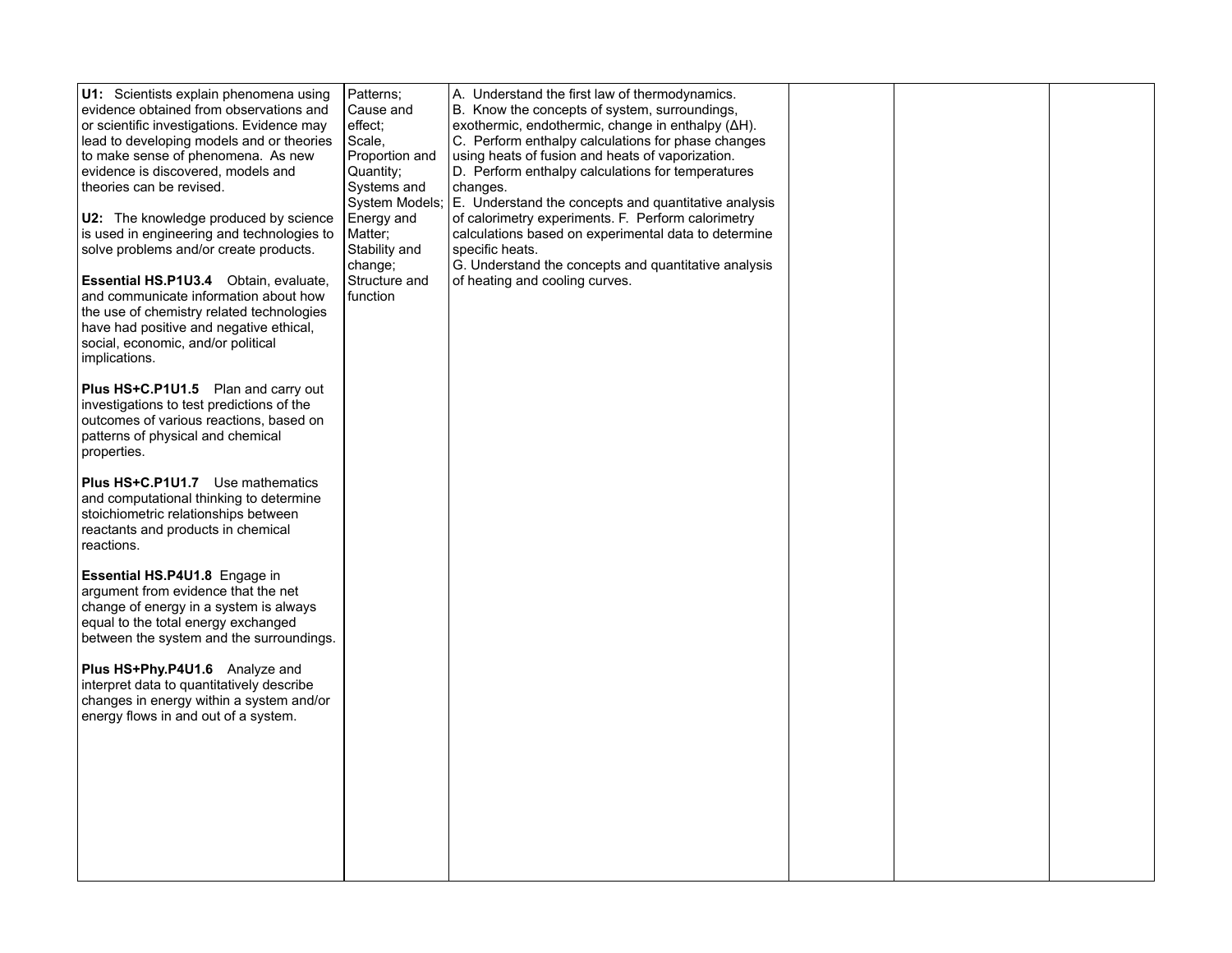|                          | U1: Scientists explain phenomena using                                                  | Patterns;         | A. Understand the first law of thermodynamics.                                                     |  |  |
|--------------------------|-----------------------------------------------------------------------------------------|-------------------|----------------------------------------------------------------------------------------------------|--|--|
|                          | evidence obtained from observations and                                                 | Cause and         | B. Know the concepts of system, surroundings,<br>exothermic, endothermic, change in enthalpy (ΔH). |  |  |
|                          | or scientific investigations. Evidence may<br>lead to developing models and or theories | effect;<br>Scale, | C. Perform enthalpy calculations for phase changes                                                 |  |  |
|                          | to make sense of phenomena. As new                                                      | Proportion and    | using heats of fusion and heats of vaporization.                                                   |  |  |
|                          | evidence is discovered, models and                                                      | Quantity:         | D. Perform enthalpy calculations for temperatures                                                  |  |  |
| theories can be revised. |                                                                                         | Systems and       | changes.                                                                                           |  |  |
|                          |                                                                                         | System Models;    | E. Understand the concepts and quantitative analysis                                               |  |  |
|                          | <b>U2:</b> The knowledge produced by science                                            | Energy and        | of calorimetry experiments. F. Perform calorimetry                                                 |  |  |
|                          | is used in engineering and technologies to                                              | Matter;           | calculations based on experimental data to determine                                               |  |  |
|                          | solve problems and/or create products.                                                  | Stability and     | specific heats.                                                                                    |  |  |
|                          |                                                                                         | change;           | G. Understand the concepts and quantitative analysis                                               |  |  |
|                          | <b>Essential HS.P1U3.4</b> Obtain, evaluate,                                            | Structure and     | of heating and cooling curves.                                                                     |  |  |
|                          | and communicate information about how                                                   | function          |                                                                                                    |  |  |
|                          | the use of chemistry related technologies                                               |                   |                                                                                                    |  |  |
|                          | have had positive and negative ethical,                                                 |                   |                                                                                                    |  |  |
|                          | social, economic, and/or political                                                      |                   |                                                                                                    |  |  |
| implications.            |                                                                                         |                   |                                                                                                    |  |  |
|                          |                                                                                         |                   |                                                                                                    |  |  |
|                          | Plus HS+C.P1U1.5 Plan and carry out                                                     |                   |                                                                                                    |  |  |
|                          | investigations to test predictions of the                                               |                   |                                                                                                    |  |  |
|                          | outcomes of various reactions, based on                                                 |                   |                                                                                                    |  |  |
| properties.              | patterns of physical and chemical                                                       |                   |                                                                                                    |  |  |
|                          |                                                                                         |                   |                                                                                                    |  |  |
|                          | Plus HS+C.P1U1.7 Use mathematics                                                        |                   |                                                                                                    |  |  |
|                          | and computational thinking to determine                                                 |                   |                                                                                                    |  |  |
|                          | stoichiometric relationships between                                                    |                   |                                                                                                    |  |  |
|                          | reactants and products in chemical                                                      |                   |                                                                                                    |  |  |
| reactions.               |                                                                                         |                   |                                                                                                    |  |  |
|                          |                                                                                         |                   |                                                                                                    |  |  |
|                          | Essential HS.P4U1.8 Engage in                                                           |                   |                                                                                                    |  |  |
|                          | argument from evidence that the net                                                     |                   |                                                                                                    |  |  |
|                          | change of energy in a system is always                                                  |                   |                                                                                                    |  |  |
|                          | equal to the total energy exchanged                                                     |                   |                                                                                                    |  |  |
|                          | between the system and the surroundings.                                                |                   |                                                                                                    |  |  |
|                          | Plus HS+Phy.P4U1.6 Analyze and                                                          |                   |                                                                                                    |  |  |
|                          | interpret data to quantitatively describe                                               |                   |                                                                                                    |  |  |
|                          | changes in energy within a system and/or                                                |                   |                                                                                                    |  |  |
|                          | energy flows in and out of a system.                                                    |                   |                                                                                                    |  |  |
|                          |                                                                                         |                   |                                                                                                    |  |  |
|                          |                                                                                         |                   |                                                                                                    |  |  |
|                          |                                                                                         |                   |                                                                                                    |  |  |
|                          |                                                                                         |                   |                                                                                                    |  |  |
|                          |                                                                                         |                   |                                                                                                    |  |  |
|                          |                                                                                         |                   |                                                                                                    |  |  |
|                          |                                                                                         |                   |                                                                                                    |  |  |
|                          |                                                                                         |                   |                                                                                                    |  |  |
|                          |                                                                                         |                   |                                                                                                    |  |  |
|                          |                                                                                         |                   |                                                                                                    |  |  |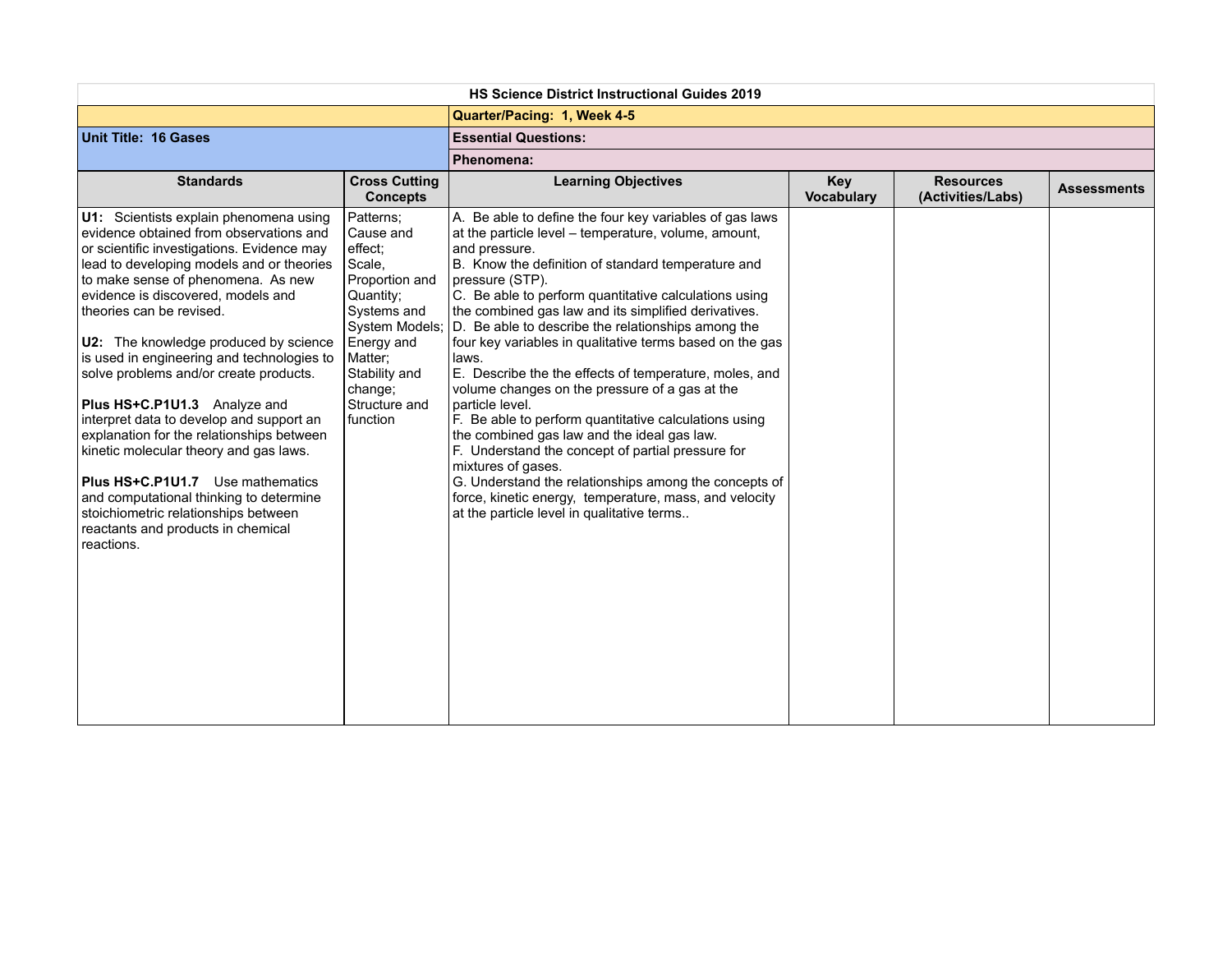| <b>HS Science District Instructional Guides 2019</b>                                                                                                                                                                                                                                                                                                                                                                                                                                                                                                                                                                                                                                                                                                                |                                                                                                                                                                                               |                                                                                                                                                                                                                                                                                                                                                                                                                                                                                                                                                                                                                                                                                                                                                                                                                                                                                                                                          |                                 |                                       |                    |  |  |
|---------------------------------------------------------------------------------------------------------------------------------------------------------------------------------------------------------------------------------------------------------------------------------------------------------------------------------------------------------------------------------------------------------------------------------------------------------------------------------------------------------------------------------------------------------------------------------------------------------------------------------------------------------------------------------------------------------------------------------------------------------------------|-----------------------------------------------------------------------------------------------------------------------------------------------------------------------------------------------|------------------------------------------------------------------------------------------------------------------------------------------------------------------------------------------------------------------------------------------------------------------------------------------------------------------------------------------------------------------------------------------------------------------------------------------------------------------------------------------------------------------------------------------------------------------------------------------------------------------------------------------------------------------------------------------------------------------------------------------------------------------------------------------------------------------------------------------------------------------------------------------------------------------------------------------|---------------------------------|---------------------------------------|--------------------|--|--|
|                                                                                                                                                                                                                                                                                                                                                                                                                                                                                                                                                                                                                                                                                                                                                                     |                                                                                                                                                                                               | Quarter/Pacing: 1, Week 4-5                                                                                                                                                                                                                                                                                                                                                                                                                                                                                                                                                                                                                                                                                                                                                                                                                                                                                                              |                                 |                                       |                    |  |  |
| <b>Unit Title: 16 Gases</b>                                                                                                                                                                                                                                                                                                                                                                                                                                                                                                                                                                                                                                                                                                                                         |                                                                                                                                                                                               | <b>Essential Questions:</b>                                                                                                                                                                                                                                                                                                                                                                                                                                                                                                                                                                                                                                                                                                                                                                                                                                                                                                              |                                 |                                       |                    |  |  |
|                                                                                                                                                                                                                                                                                                                                                                                                                                                                                                                                                                                                                                                                                                                                                                     |                                                                                                                                                                                               | Phenomena:                                                                                                                                                                                                                                                                                                                                                                                                                                                                                                                                                                                                                                                                                                                                                                                                                                                                                                                               |                                 |                                       |                    |  |  |
| <b>Standards</b>                                                                                                                                                                                                                                                                                                                                                                                                                                                                                                                                                                                                                                                                                                                                                    | <b>Cross Cutting</b><br><b>Concepts</b>                                                                                                                                                       | <b>Learning Objectives</b>                                                                                                                                                                                                                                                                                                                                                                                                                                                                                                                                                                                                                                                                                                                                                                                                                                                                                                               | <b>Key</b><br><b>Vocabulary</b> | <b>Resources</b><br>(Activities/Labs) | <b>Assessments</b> |  |  |
| U1: Scientists explain phenomena using<br>evidence obtained from observations and<br>or scientific investigations. Evidence may<br>lead to developing models and or theories<br>to make sense of phenomena. As new<br>evidence is discovered, models and<br>theories can be revised.<br>U2: The knowledge produced by science<br>is used in engineering and technologies to<br>solve problems and/or create products.<br>Plus HS+C.P1U1.3 Analyze and<br>interpret data to develop and support an<br>explanation for the relationships between<br>kinetic molecular theory and gas laws.<br>Plus HS+C.P1U1.7 Use mathematics<br>and computational thinking to determine<br>stoichiometric relationships between<br>reactants and products in chemical<br>reactions. | Patterns;<br>Cause and<br>effect;<br>Scale,<br>Proportion and<br>Quantity;<br>Systems and<br>System Models;<br>Energy and<br>Matter;<br>Stability and<br>change;<br>Structure and<br>function | A. Be able to define the four key variables of gas laws<br>at the particle level - temperature, volume, amount,<br>and pressure.<br>B. Know the definition of standard temperature and<br>pressure (STP).<br>C. Be able to perform quantitative calculations using<br>the combined gas law and its simplified derivatives.<br>D. Be able to describe the relationships among the<br>four key variables in qualitative terms based on the gas<br>laws.<br>E. Describe the the effects of temperature, moles, and<br>volume changes on the pressure of a gas at the<br>particle level.<br>F. Be able to perform quantitative calculations using<br>the combined gas law and the ideal gas law.<br>F. Understand the concept of partial pressure for<br>mixtures of gases.<br>G. Understand the relationships among the concepts of<br>force, kinetic energy, temperature, mass, and velocity<br>at the particle level in qualitative terms |                                 |                                       |                    |  |  |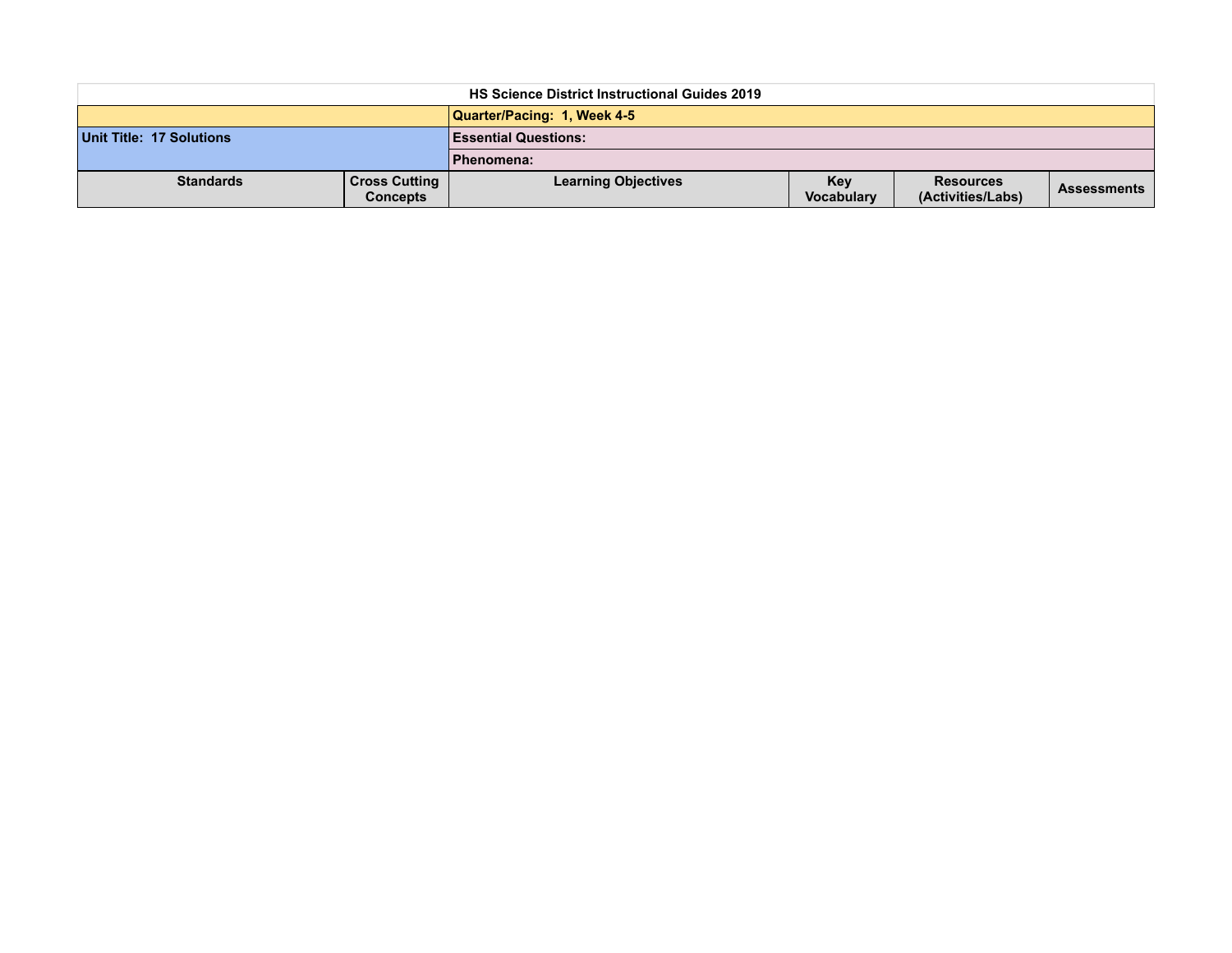| <b>HS Science District Instructional Guides 2019</b> |                                         |                             |                                 |                                       |                    |  |  |
|------------------------------------------------------|-----------------------------------------|-----------------------------|---------------------------------|---------------------------------------|--------------------|--|--|
|                                                      |                                         | Quarter/Pacing: 1, Week 4-5 |                                 |                                       |                    |  |  |
| Unit Title: 17 Solutions                             |                                         | <b>Essential Questions:</b> |                                 |                                       |                    |  |  |
|                                                      |                                         | Phenomena:                  |                                 |                                       |                    |  |  |
| <b>Standards</b>                                     | <b>Cross Cutting</b><br><b>Concepts</b> | <b>Learning Objectives</b>  | <b>Kev</b><br><b>Vocabulary</b> | <b>Resources</b><br>(Activities/Labs) | <b>Assessments</b> |  |  |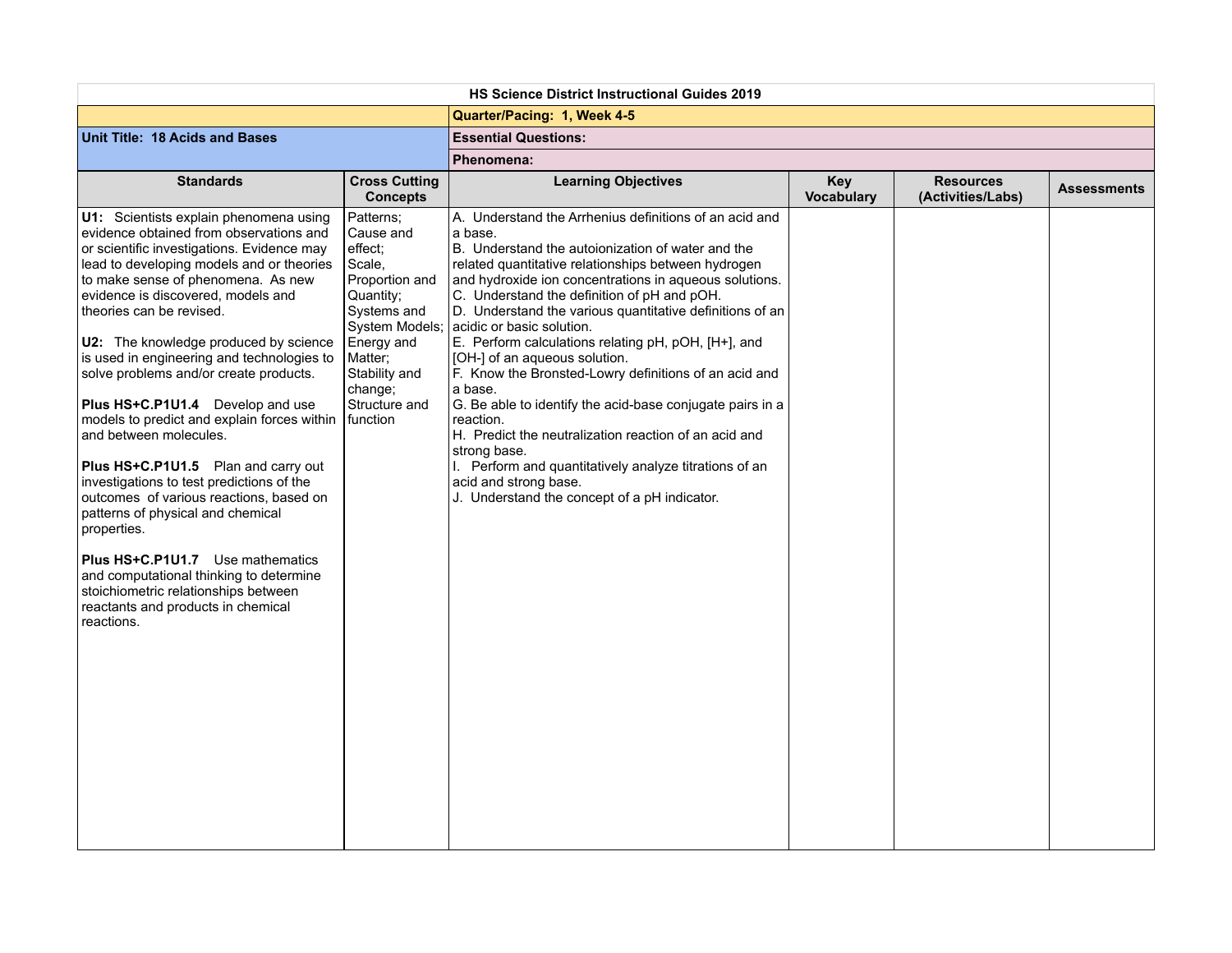| <b>HS Science District Instructional Guides 2019</b>                                                                                                                                                                                                                                                                                                                                                                                                                                                                                                                                                                                                                                                                                                                                                                                                                                                    |                                                                                                                                                                                                      |                                                                                                                                                                                                                                                                                                                                                                                                                                                                                                                                                                                                                                                                                                                                                                                                                                |                                 |                                       |                    |  |  |
|---------------------------------------------------------------------------------------------------------------------------------------------------------------------------------------------------------------------------------------------------------------------------------------------------------------------------------------------------------------------------------------------------------------------------------------------------------------------------------------------------------------------------------------------------------------------------------------------------------------------------------------------------------------------------------------------------------------------------------------------------------------------------------------------------------------------------------------------------------------------------------------------------------|------------------------------------------------------------------------------------------------------------------------------------------------------------------------------------------------------|--------------------------------------------------------------------------------------------------------------------------------------------------------------------------------------------------------------------------------------------------------------------------------------------------------------------------------------------------------------------------------------------------------------------------------------------------------------------------------------------------------------------------------------------------------------------------------------------------------------------------------------------------------------------------------------------------------------------------------------------------------------------------------------------------------------------------------|---------------------------------|---------------------------------------|--------------------|--|--|
|                                                                                                                                                                                                                                                                                                                                                                                                                                                                                                                                                                                                                                                                                                                                                                                                                                                                                                         |                                                                                                                                                                                                      | Quarter/Pacing: 1, Week 4-5                                                                                                                                                                                                                                                                                                                                                                                                                                                                                                                                                                                                                                                                                                                                                                                                    |                                 |                                       |                    |  |  |
| Unit Title: 18 Acids and Bases                                                                                                                                                                                                                                                                                                                                                                                                                                                                                                                                                                                                                                                                                                                                                                                                                                                                          |                                                                                                                                                                                                      | <b>Essential Questions:</b>                                                                                                                                                                                                                                                                                                                                                                                                                                                                                                                                                                                                                                                                                                                                                                                                    |                                 |                                       |                    |  |  |
|                                                                                                                                                                                                                                                                                                                                                                                                                                                                                                                                                                                                                                                                                                                                                                                                                                                                                                         |                                                                                                                                                                                                      | Phenomena:                                                                                                                                                                                                                                                                                                                                                                                                                                                                                                                                                                                                                                                                                                                                                                                                                     |                                 |                                       |                    |  |  |
| <b>Standards</b>                                                                                                                                                                                                                                                                                                                                                                                                                                                                                                                                                                                                                                                                                                                                                                                                                                                                                        | <b>Cross Cutting</b><br><b>Concepts</b>                                                                                                                                                              | <b>Learning Objectives</b>                                                                                                                                                                                                                                                                                                                                                                                                                                                                                                                                                                                                                                                                                                                                                                                                     | <b>Key</b><br><b>Vocabulary</b> | <b>Resources</b><br>(Activities/Labs) | <b>Assessments</b> |  |  |
| U1: Scientists explain phenomena using<br>evidence obtained from observations and<br>or scientific investigations. Evidence may<br>lead to developing models and or theories<br>to make sense of phenomena. As new<br>evidence is discovered, models and<br>theories can be revised.<br>U2: The knowledge produced by science<br>is used in engineering and technologies to<br>solve problems and/or create products.<br>Plus HS+C.P1U1.4 Develop and use<br>models to predict and explain forces within<br>and between molecules.<br>Plus HS+C.P1U1.5 Plan and carry out<br>investigations to test predictions of the<br>outcomes of various reactions, based on<br>patterns of physical and chemical<br>properties.<br><b>Plus HS+C.P1U1.7</b> Use mathematics<br>and computational thinking to determine<br>stoichiometric relationships between<br>reactants and products in chemical<br>reactions. | Patterns;<br>Cause and<br>effect:<br>Scale,<br>Proportion and<br>Quantity;<br>Systems and<br><b>System Models;</b><br>Energy and<br>Matter;<br>Stability and<br>change;<br>Structure and<br>function | A. Understand the Arrhenius definitions of an acid and<br>a base.<br>B. Understand the autoionization of water and the<br>related quantitative relationships between hydrogen<br>and hydroxide ion concentrations in aqueous solutions.<br>C. Understand the definition of pH and pOH.<br>D. Understand the various quantitative definitions of an<br>acidic or basic solution.<br>E. Perform calculations relating pH, pOH, [H+], and<br>[OH-] of an aqueous solution.<br>F. Know the Bronsted-Lowry definitions of an acid and<br>a base.<br>G. Be able to identify the acid-base conjugate pairs in a<br>reaction.<br>H. Predict the neutralization reaction of an acid and<br>strong base.<br>Perform and quantitatively analyze titrations of an<br>acid and strong base.<br>J. Understand the concept of a pH indicator. |                                 |                                       |                    |  |  |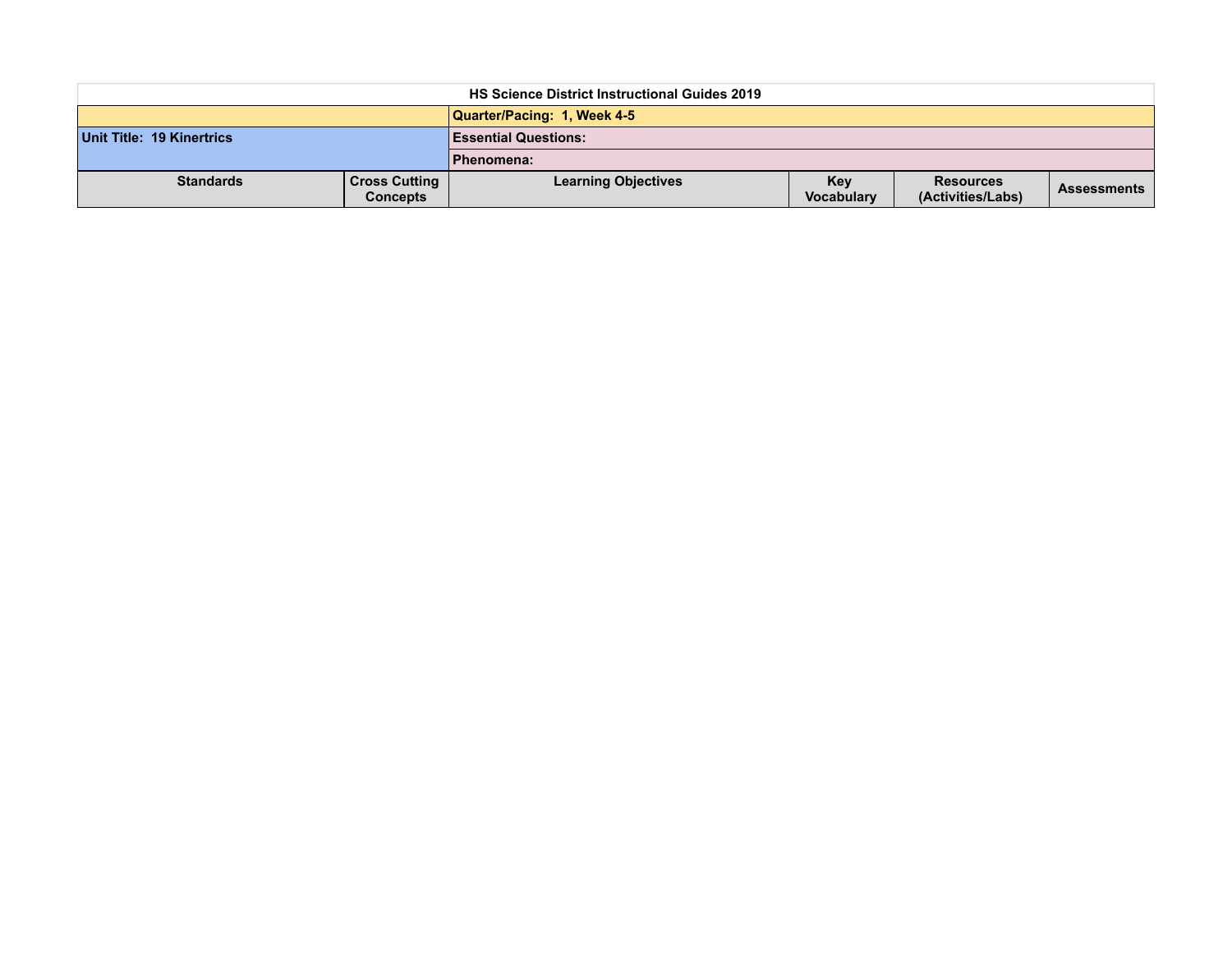| <b>HS Science District Instructional Guides 2019</b> |                                         |                             |                          |                                       |                    |  |  |
|------------------------------------------------------|-----------------------------------------|-----------------------------|--------------------------|---------------------------------------|--------------------|--|--|
|                                                      |                                         | Quarter/Pacing: 1, Week 4-5 |                          |                                       |                    |  |  |
| Unit Title: 19 Kinertrics                            |                                         | <b>Essential Questions:</b> |                          |                                       |                    |  |  |
|                                                      |                                         | Phenomena:                  |                          |                                       |                    |  |  |
| <b>Standards</b>                                     | <b>Cross Cutting</b><br><b>Concepts</b> | <b>Learning Objectives</b>  | <b>Kev</b><br>Vocabulary | <b>Resources</b><br>(Activities/Labs) | <b>Assessments</b> |  |  |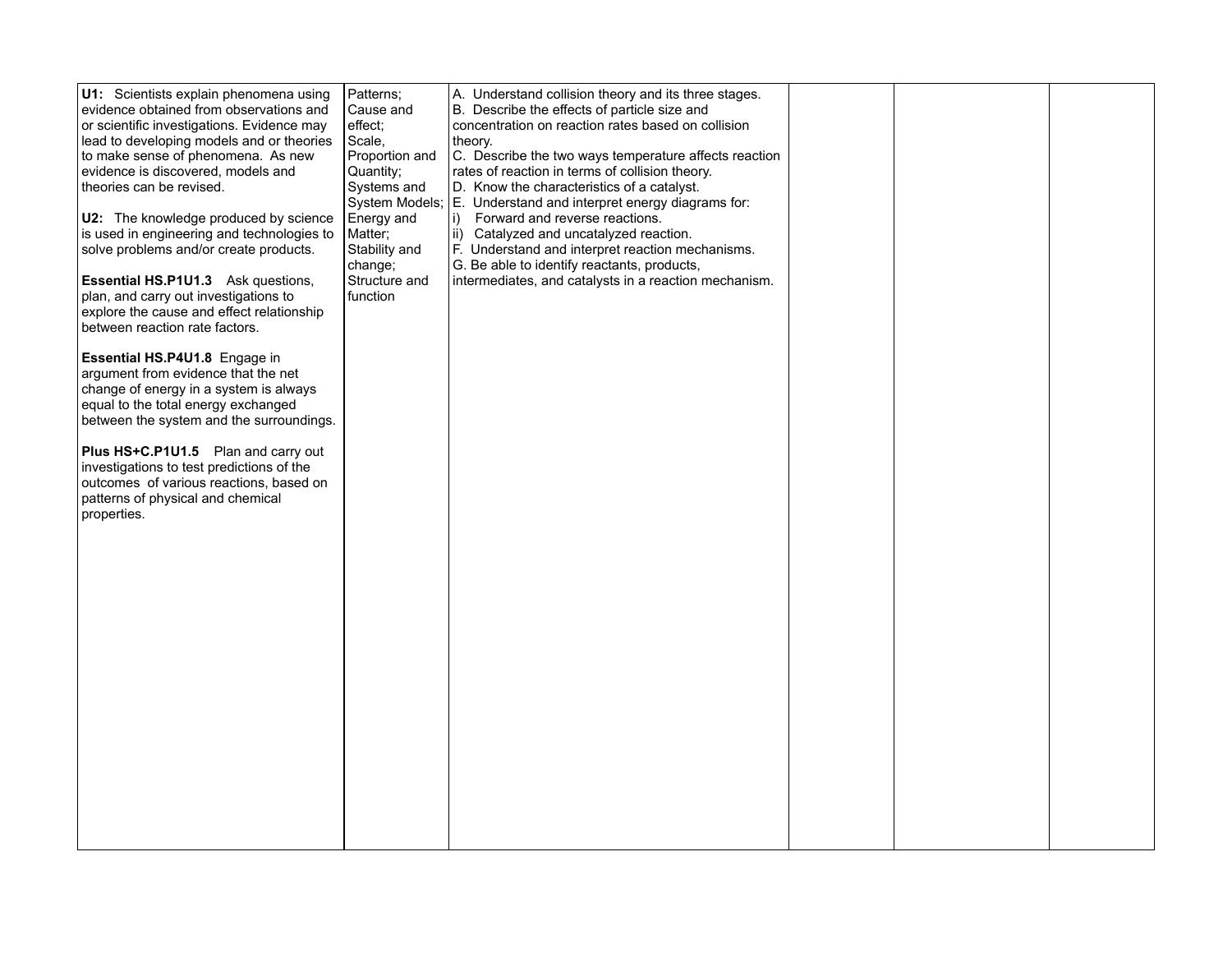| U1: Scientists explain phenomena using     | Patterns:      | A. Understand collision theory and its three stages.            |  |  |
|--------------------------------------------|----------------|-----------------------------------------------------------------|--|--|
| evidence obtained from observations and    | Cause and      | B. Describe the effects of particle size and                    |  |  |
| or scientific investigations. Evidence may | effect:        | concentration on reaction rates based on collision              |  |  |
| lead to developing models and or theories  | Scale,         | theory.                                                         |  |  |
|                                            |                |                                                                 |  |  |
| to make sense of phenomena. As new         | Proportion and | C. Describe the two ways temperature affects reaction           |  |  |
| evidence is discovered, models and         | Quantity;      | rates of reaction in terms of collision theory.                 |  |  |
| theories can be revised.                   | Systems and    | D. Know the characteristics of a catalyst.                      |  |  |
|                                            |                | System Models; E. Understand and interpret energy diagrams for: |  |  |
| U2: The knowledge produced by science      | Energy and     | Forward and reverse reactions.<br>li)                           |  |  |
| is used in engineering and technologies to | Matter;        | ii) Catalyzed and uncatalyzed reaction.                         |  |  |
| solve problems and/or create products.     | Stability and  | F. Understand and interpret reaction mechanisms.                |  |  |
|                                            | change;        | G. Be able to identify reactants, products,                     |  |  |
| Essential HS.P1U1.3 Ask questions,         | Structure and  | intermediates, and catalysts in a reaction mechanism.           |  |  |
| plan, and carry out investigations to      | function       |                                                                 |  |  |
| explore the cause and effect relationship  |                |                                                                 |  |  |
| between reaction rate factors.             |                |                                                                 |  |  |
|                                            |                |                                                                 |  |  |
| Essential HS.P4U1.8 Engage in              |                |                                                                 |  |  |
| argument from evidence that the net        |                |                                                                 |  |  |
| change of energy in a system is always     |                |                                                                 |  |  |
| equal to the total energy exchanged        |                |                                                                 |  |  |
| between the system and the surroundings.   |                |                                                                 |  |  |
|                                            |                |                                                                 |  |  |
| Plus HS+C.P1U1.5 Plan and carry out        |                |                                                                 |  |  |
| investigations to test predictions of the  |                |                                                                 |  |  |
| outcomes of various reactions, based on    |                |                                                                 |  |  |
| patterns of physical and chemical          |                |                                                                 |  |  |
| properties.                                |                |                                                                 |  |  |
|                                            |                |                                                                 |  |  |
|                                            |                |                                                                 |  |  |
|                                            |                |                                                                 |  |  |
|                                            |                |                                                                 |  |  |
|                                            |                |                                                                 |  |  |
|                                            |                |                                                                 |  |  |
|                                            |                |                                                                 |  |  |
|                                            |                |                                                                 |  |  |
|                                            |                |                                                                 |  |  |
|                                            |                |                                                                 |  |  |
|                                            |                |                                                                 |  |  |
|                                            |                |                                                                 |  |  |
|                                            |                |                                                                 |  |  |
|                                            |                |                                                                 |  |  |
|                                            |                |                                                                 |  |  |
|                                            |                |                                                                 |  |  |
|                                            |                |                                                                 |  |  |
|                                            |                |                                                                 |  |  |
|                                            |                |                                                                 |  |  |
|                                            |                |                                                                 |  |  |
|                                            |                |                                                                 |  |  |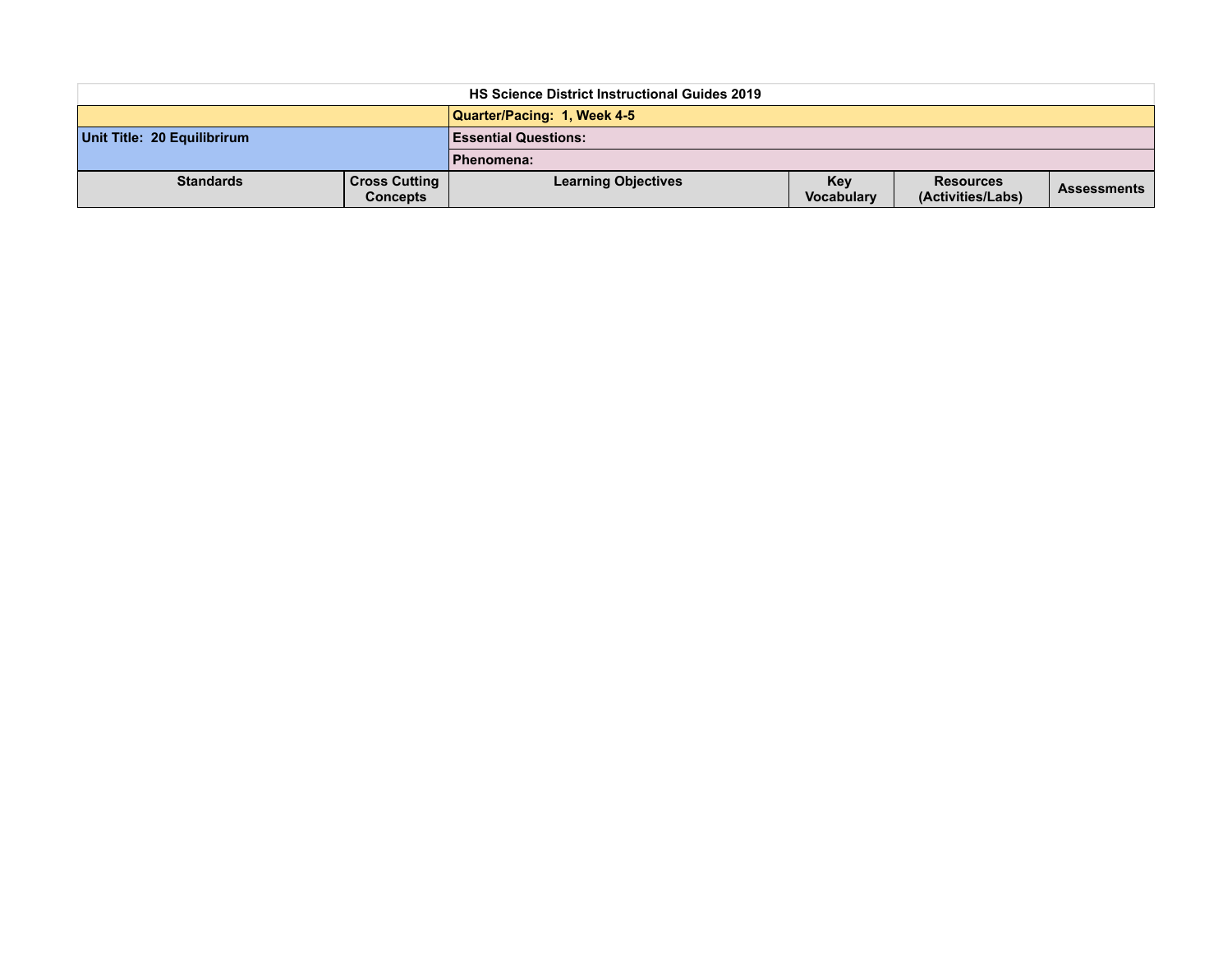| <b>HS Science District Instructional Guides 2019</b> |                                         |                             |                          |                                       |                    |  |  |  |  |
|------------------------------------------------------|-----------------------------------------|-----------------------------|--------------------------|---------------------------------------|--------------------|--|--|--|--|
|                                                      |                                         | Quarter/Pacing: 1, Week 4-5 |                          |                                       |                    |  |  |  |  |
| Unit Title: 20 Equilibrirum                          |                                         | <b>Essential Questions:</b> |                          |                                       |                    |  |  |  |  |
|                                                      |                                         | Phenomena:                  |                          |                                       |                    |  |  |  |  |
| <b>Standards</b>                                     | <b>Cross Cutting</b><br><b>Concepts</b> | <b>Learning Objectives</b>  | <b>Kev</b><br>Vocabulary | <b>Resources</b><br>(Activities/Labs) | <b>Assessments</b> |  |  |  |  |